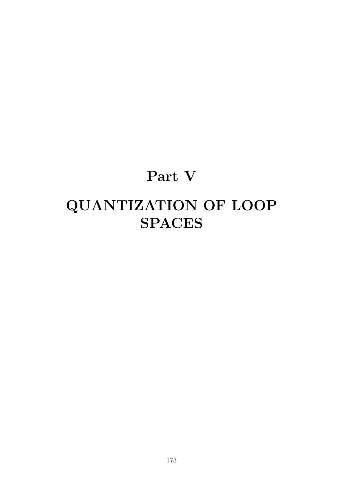# **Part V QUANTIZATION OF LOOP SPACES**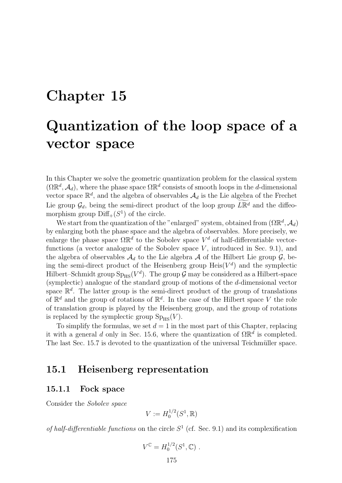# **Chapter 15**

# **Quantization of the loop space of a vector space**

In this Chapter we solve the geometric quantization problem for the classical system  $(\Omega \mathbb{R}^d, \mathcal{A}_d)$ , where the phase space  $\Omega \mathbb{R}^d$  consists of smooth loops in the *d*-dimensional vector space  $\mathbb{R}^d$ , and the algebra of observables  $\mathcal{A}_d$  is the Lie algebra of the Frechet Lie group  $\mathcal{G}_d$ , being the semi-direct product of the loop group  $L\mathbb{R}^d$  and the diffeo-<br>group line group  $\mathbb{R}^d$  (Cl) of the simbol morphism group  $\text{Diff}_+(S^1)$  of the circle.

We start from the quantization of the "enlarged" system, obtained from  $(\Omega \mathbb{R}^d, \mathcal{A}_d)$ by enlarging both the phase space and the algebra of observables. More precisely, we enlarge the phase space  $\Omega \mathbb{R}^d$  to the Sobolev space  $V^d$  of half-differentiable vectorfunctions (a vector analogue of the Sobolev space *V* , introduced in Sec. 9.1), and the algebra of observables  $A_d$  to the Lie algebra A of the Hilbert Lie group  $G$ , being the semi-direct product of the Heisenberg group  $\text{Heis}(V^d)$  and the symplectic Hilbert–Schmidt group  $Sp_{HS}(V^d)$ . The group  $\mathcal G$  may be considered as a Hilbert-space (symplectic) analogue of the standard group of motions of the *d*-dimensional vector space  $\mathbb{R}^d$ . The latter group is the semi-direct product of the group of translations of  $\mathbb{R}^d$  and the group of rotations of  $\mathbb{R}^d$ . In the case of the Hilbert space *V* the role of translation group is played by the Heisenberg group, and the group of rotations is replaced by the symplectic group  $Sp_{HS}(V)$ .

To simplify the formulas, we set  $d = 1$  in the most part of this Chapter, replacing it with a general *d* only in Sec. 15.6, where the quantization of  $\Omega \mathbb{R}^d$  is completed. The last Sec. 15.7 is devoted to the quantization of the universal Teichmüller space.

# **15.1 Heisenberg representation**

### **15.1.1 Fock space**

Consider the *Sobolev space*

$$
V := H_0^{1/2}(S^1, \mathbb{R})
$$

*of half-differentiable functions* on the circle  $S<sup>1</sup>$  (cf. Sec. 9.1) and its complexification

$$
V^{\mathbb{C}} = H_0^{1/2}(S^1, \mathbb{C}) .
$$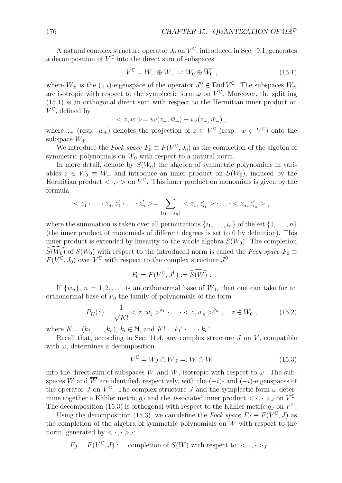A natural complex structure operator  $J_0$  on  $V^{\mathbb{C}}$ , introduced in Sec. 9.1, generates a decomposition of  $V^{\mathbb{C}}$  into the direct sum of subspaces

$$
V^{\mathbb{C}} = W_+ \oplus W_- =: W_0 \oplus \overline{W_0} , \qquad (15.1)
$$

where  $W_{\pm}$  is the (*∓i*)-eigenspace of the operator  $J^0 \in \text{End } V^{\mathbb{C}}$ . The subspaces  $W_{\pm}$ are isotropic with respect to the symplectic form  $\omega$  on  $V^{\mathbb{C}}$ . Moreover, the splitting (15.1) is an orthogonal direct sum with respect to the Hermitian inner product on  $V^{\mathbb{C}}$ , defined by

$$
=i\omega(z_+,\bar{w}_+) - i\omega(z_-, \bar{w}_-)
$$
,

where  $z_{\pm}$  (resp.  $w_{\pm}$ ) denotes the projection of  $z \in V^{\mathbb{C}}$  (resp.  $w \in V^{\mathbb{C}}$ ) onto the subspace  $W_{+}$ .

We introduce the *Fock space*  $F_0 \equiv F(V^{\mathbb{C}}, J_0)$  as the completion of the algebra of symmetric polynomials on  $W_0$  with respect to a natural norm.

In more detail, denote by  $S(W_0)$  the algebra of symmetric polynomials in variables  $z \in W_0 \equiv W_+$  and introduce an inner product on  $S(W_0)$ , induced by the Hermitian product  $\langle \cdot, \cdot \rangle$  on  $V^{\mathbb{C}}$ . This inner product on monomials is given by the formula

$$
=\sum_{\{i_1,\ldots,i_n\}}\ldots\ldots ,
$$

where the summation is taken over all permutations  $\{i_1, \ldots, i_n\}$  of the set  $\{1, \ldots, n\}$ (the inner product of monomials of different degrees is set to 0 by definition). This inner product is extended by linearity to the whole algebra  $S(W_0)$ . The completion inner product is extended by linearity to the whole algebra  $S(W_0)$ . The completion  $\widehat{S(W_0)}$  of  $S(W_0)$  with respect to the introduced norm is called the *Fock space*  $F_0 \equiv$  $F(V^{\mathfrak{C}}, J_0)$  over  $V^{\mathfrak{C}}$  with respect to the complex structure  $J^0$ 

$$
F_0 = F(V^{\mathbb{C}}, J^0) := \widehat{S(W)} .
$$

If  $\{w_n\}$ ,  $n = 1, 2, \ldots$ , is an orthonormal base of  $W_0$ , then one can take for an orthonormal base of  $F_0$  the family of polynomials of the form

$$
P_K(z) = \frac{1}{\sqrt{K!}} < z, w_1 >^{k_1} \cdot \ldots < z, w_n >^{k_n}, \quad z \in W_0 \;, \tag{15.2}
$$

where  $K = (k_1, \ldots, k_n), k_i \in \mathbb{N}$ , and  $K! = k_1! \cdot \ldots \cdot k_n!$ .

Recall that, according to Sec. 11.4, any complex structure  $J$  on  $V$ , compatible with  $\omega$ , determines a decomposition

$$
V^{\mathbb{C}} = W_J \oplus \overline{W}_J =: W \oplus \overline{W} \tag{15.3}
$$

into the direct sum of subspaces W and  $\overline{W}$ , isotropic with respect to  $\omega$ . The subspaces *W* and  $\overline{W}$  are identified, respectively, with the  $(-i)$ - and  $(+i)$ -eigenspaces of the operator *J* on  $V^{\mathbb{C}}$ . The complex structure *J* and the symplectic form  $\omega$  determine together a Kähler metric  $g_J$  and the associated inner product  $\langle \cdot, \cdot \rangle_J$  on  $V^{\mathbb{C}}$ . The decomposition (15.3) is orthogonal with respect to the Kähler metric  $g_J$  on  $V^{\mathbb{C}}$ .

Using the decomposition (15.3), we can define the *Fock space*  $F_J \equiv F(V^{\mathbb{C}}, J)$  as the completion of the algebra of symmetric polynomials on *W* with respect to the norm, generated by  $\langle \cdot, \cdot \rangle$ *j*:

$$
F_J = F(V^{\mathbb{C}}, J) := \text{ completion of } S(W) \text{ with respect to } \langle \cdot, \cdot \rangle_J .
$$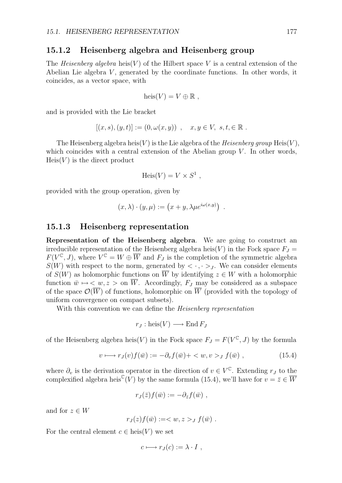### **15.1.2 Heisenberg algebra and Heisenberg group**

The *Heisenberg algebra* heis(*V* ) of the Hilbert space *V* is a central extension of the Abelian Lie algebra *V* , generated by the coordinate functions. In other words, it coincides, as a vector space, with

$$
heis(V) = V \oplus \mathbb{R} ,
$$

and is provided with the Lie bracket

$$
[(x, s), (y, t)] := (0, \omega(x, y)), \quad x, y \in V, \ s, t \in \mathbb{R}.
$$

The Heisenberg algebra heis $(V)$  is the Lie algebra of the *Heisenberg group* Heis $(V)$ , which coincides with a central extension of the Abelian group  $V$ . In other words,  $Heis(V)$  is the direct product

$$
Heis(V) = V \times S^1,
$$

provided with the group operation, given by

$$
(x, \lambda) \cdot (y, \mu) := (x + y, \lambda \mu e^{i\omega(x, y)}) .
$$

#### **15.1.3 Heisenberg representation**

**Representation of the Heisenberg algebra**. We are going to construct an irreducible representation of the Heisenberg algebra heis $(V)$  in the Fock space  $F_J$  $F(V^{\mathbb{C}}, J)$ , where  $V^{\mathbb{C}} = W \oplus \overline{W}$  and  $F_J$  is the completion of the symmetric algebra  $S(W)$  with respect to the norm, generated by  $\langle \cdot, \cdot \rangle$ . We can consider elements of  $S(W)$  as holomorphic functions on  $\overline{W}$  by identifying  $z \in W$  with a holomorphic function  $\bar{w} \mapsto \langle w, z \rangle$  on  $\overline{W}$ . Accordingly,  $F_J$  may be considered as a subspace of the space  $\mathcal{O}(\overline{W})$  of functions, holomorphic on  $\overline{W}$  (provided with the topology of uniform convergence on compact subsets).

With this convention we can define the *Heisenberg representation*

$$
r_J: \text{heis}(V) \longrightarrow \text{End}\, F_J
$$

of the Heisenberg algebra heis $(V)$  in the Fock space  $F_J = F(V^{\mathbb{C}}, J)$  by the formula

$$
v \longmapsto r_J(v)f(\bar{w}) := -\partial_v f(\bar{w}) + \langle w, v \rangle_J f(\bar{w}), \qquad (15.4)
$$

where  $\partial_v$  is the derivation operator in the direction of  $v \in V^{\mathbb{C}}$ . Extending  $r_J$  to the complexified algebra heis<sup>C</sup>(*V*) by the same formula (15.4), we'll have for  $v = \overline{z} \in \overline{W}$ 

$$
r_J(\bar{z})f(\bar{w}) := -\partial_{\bar{z}}f(\bar{w}) ,
$$

and for  $z \in W$ 

$$
r_J(z)f(\bar{w}) := _J f(\bar{w}) .
$$

For the central element  $c \in \text{heis}(V)$  we set

$$
c \longmapsto r_J(c) := \lambda \cdot I \ ,
$$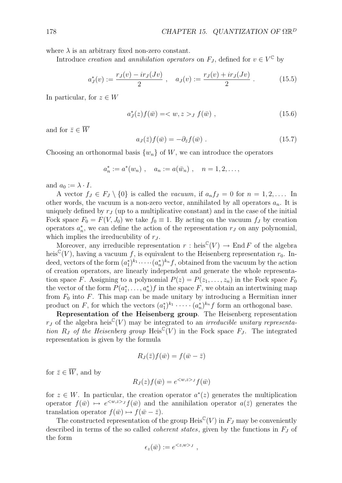where  $\lambda$  is an arbitrary fixed non-zero constant.

Introduce *creation* and *annihilation operators* on  $F_J$ , defined for  $v \in V^{\mathbb{C}}$  by

$$
a_J^*(v) := \frac{r_J(v) - ir_J(Jv)}{2} , \quad a_J(v) := \frac{r_J(v) + ir_J(Jv)}{2} . \tag{15.5}
$$

In particular, for  $z \in W$ 

$$
a_J^*(z) f(\bar{w}) = \langle w, z \rangle_J f(\bar{w}), \qquad (15.6)
$$

and for  $\bar{z} \in \overline{W}$ 

$$
a_J(\bar{z})f(\bar{w}) = -\partial_{\bar{z}}f(\bar{w}) . \qquad (15.7)
$$

Choosing an orthonormal basis  $\{w_n\}$  of W, we can introduce the operators

$$
a_n^* := a^*(w_n)
$$
,  $a_n := a(\bar{w}_n)$ ,  $n = 1, 2, ...,$ 

and  $a_0 := \lambda \cdot I$ .

A vector  $f_J \in F_J \setminus \{0\}$  is called the *vacuum*, if  $a_n f_J = 0$  for  $n = 1, 2, \ldots$  In other words, the vacuum is a non-zero vector, annihilated by all operators *an*. It is uniquely defined by  $r<sub>J</sub>$  (up to a multiplicative constant) and in the case of the initial Fock space  $F_0 = F(V, J_0)$  we take  $f_0 \equiv 1$ . By acting on the vacuum  $f_J$  by creation operators  $a_n^*$ , we can define the action of the representation  $r_J$  on any polynomial, which implies the irreducubility of *r<sup>J</sup>* .

Moreover, any irreducible representation  $r : \text{heis}^{\mathbb{C}}(V) \to \text{End } F$  of the algebra heis<sup>C</sup>(*V*), having a vacuum *f*, is equivalent to the Heisenberg representation  $r_0$ . Indeed, vectors of the form  $(a_1^*)^{k_1} \cdots (a_n^*)^{k_n} f$ , obtained from the vacuum by the action of creation operators, are linearly independent and generate the whole representation space *F*. Assigning to a polynomial  $P(z) = P(z_1, \ldots, z_n)$  in the Fock space  $F_0$ the vector of the form  $P(a_1^*, \ldots, a_n^*)f$  in the space  $F$ , we obtain an intertwining map from  $F_0$  into  $F$ . This map can be made unitary by introducing a Hermitian inner product on *F*, for which the vectors  $(a_1^*)^{k_1} \cdot \cdot \cdot \cdot (a_n^*)^{k_n} f$  form an orthogonal base.

**Representation of the Heisenberg group**. The Heisenberg representation  $r_J$  of the algebra heis<sup>C</sup>(*V*) may be integrated to an *irreducible unitary representation*  $R_J$  *of the Heisenberg group* Heis<sup>C</sup>(*V*) in the Fock space  $F_J$ . The integrated representation is given by the formula

$$
R_J(\bar{z})f(\bar{w})=f(\bar{w}-\bar{z})
$$

for  $\bar{z} \in \overline{W}$ , and by

$$
R_J(z)f(\bar{w}) = e^{} f(\bar{w})
$$

for  $z \in W$ . In particular, the creation operator  $a^*(z)$  generates the multiplication operator  $f(\bar{w}) \mapsto e^{} f(\bar{w})$  and the annihilation operator  $a(\bar{z})$  generates the  $translation operator f(\bar{w}) \mapsto f(\bar{w} - \bar{z}).$ 

The constructed representation of the group Heis<sup>C</sup>(*V*) in  $F_J$  may be conveniently described in terms of the so called *coherent states*, given by the functions in *F<sup>J</sup>* of the form

$$
\epsilon_z(\bar{w}) := e^{< z, w>_J},
$$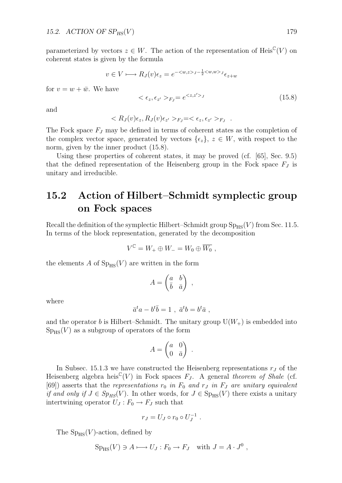parameterized by vectors  $z \in W$ . The action of the representation of Heis<sup>C</sup>(*V*) on coherent states is given by the formula

$$
v \in V \longmapsto R_J(v)\epsilon_z = e^{-\langle w, z \rangle_J - \frac{1}{2} \langle w, w \rangle_J} \epsilon_{z+w}
$$

for  $v = w + \bar{w}$ . We have

$$
\langle \epsilon_z, \epsilon_{z'} \rangle_{F_J} = e^{\langle z, z' \rangle_J} \tag{15.8}
$$

and

$$
\langle R_J(v)\epsilon_z, R_J(v)\epsilon_{z'}\rangle_{F_J} = \langle \epsilon_z, \epsilon_{z'}\rangle_{F_J}.
$$

The Fock space *F<sup>J</sup>* may be defined in terms of coherent states as the completion of the complex vector space, generated by vectors  $\{\epsilon_z\}, z \in W$ , with respect to the norm, given by the inner product (15.8).

Using these properties of coherent states, it may be proved (cf. [65], Sec. 9.5) that the defined representation of the Heisenberg group in the Fock space  $F<sub>J</sub>$  is unitary and irreducible.

# **15.2 Action of Hilbert–Schmidt symplectic group on Fock spaces**

Recall the definition of the symplectic Hilbert–Schmidt group  $\text{Sp}_{HS}(V)$  from Sec. 11.5. In terms of the block representation, generated by the decomposition

$$
V^{\mathbb{C}} = W_+ \oplus W_- = W_0 \oplus \overline{W_0} ,
$$

the elements A of  $Sp_{HS}(V)$  are written in the form

$$
A = \begin{pmatrix} a & b \\ \bar{b} & \bar{a} \end{pmatrix} ,
$$

where

$$
\bar{a}^t a - b^t \bar{b} = 1 \ , \ \bar{a}^t b = b^t \bar{a} \ ,
$$

and the operator *b* is Hilbert–Schmidt. The unitary group  $U(W_+)$  is embedded into  $Sp_{HS}(V)$  as a subgroup of operators of the form

$$
A = \begin{pmatrix} a & 0 \\ 0 & \bar{a} \end{pmatrix} .
$$

In Subsec. 15.1.3 we have constructed the Heisenberg representations  $r<sub>J</sub>$  of the Heisenberg algebra heis<sup>C</sup>(*V*) in Fock spaces  $F_J$ . A general *theorem of Shale* (cf.  $[69]$ ) asserts that the *representations*  $r_0$  *in*  $F_0$  *and*  $r_J$  *in*  $F_J$  *are unitary equivalent if and only if*  $J \in Sp_{HS}(V)$ . In other words, for  $J \in Sp_{HS}(V)$  there exists a unitary intertwining operator  $U_J: F_0 \to F_J$  such that

$$
r_J = U_J \circ r_0 \circ U_J^{-1} .
$$

The  $Sp_{HS}(V)$ -action, defined by

$$
Sp_{HS}(V) \ni A \longmapsto U_J : F_0 \to F_J \quad \text{with } J = A \cdot J^0 ,
$$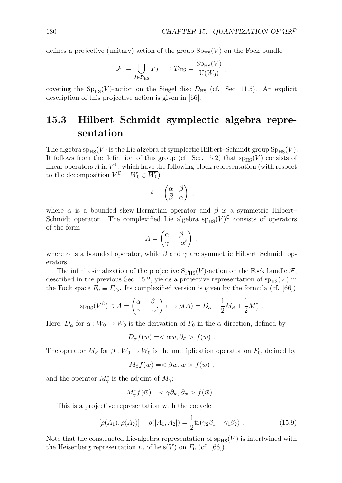defines a projective (unitary) action of the group  $Sp_{HS}(V)$  on the Fock bundle

$$
\mathcal{F} := \bigcup_{J \in \mathcal{D}_{\text{HS}}} F_J \longrightarrow \mathcal{D}_{\text{HS}} = \frac{\text{Sp}_{\text{HS}}(V)}{\text{U}(W_0)},
$$

covering the  $Sp_{HS}(V)$ -action on the Siegel disc  $D_{HS}$  (cf. Sec. 11.5). An explicit description of this projective action is given in [66].

# **15.3 Hilbert–Schmidt symplectic algebra representation**

The algebra  $sp_{HS}(V)$  is the Lie algebra of symplectic Hilbert–Schmidt group  $Sp_{HS}(V)$ . It follows from the definition of this group (cf. Sec. 15.2) that  $sp_{HS}(V)$  consists of linear operators  $A$  in  $V^{\mathbb{C}}$ , which have the following block representation (with respect to the decomposition  $V^{\mathbb{C}} = W_0 \oplus \overline{W_0}$ 

$$
A = \begin{pmatrix} \alpha & \beta \\ \bar{\beta} & \bar{\alpha} \end{pmatrix} ,
$$

where  $\alpha$  is a bounded skew-Hermitian operator and  $\beta$  is a symmetric Hilbert– Schmidt operator. The complexified Lie algebra  $sp_{HS}(V)^{\mathbb{C}}$  consists of operators of the form

$$
A = \begin{pmatrix} \alpha & \beta \\ \bar{\gamma} & -\alpha^t \end{pmatrix} ,
$$

where  $\alpha$  is a bounded operator, while  $\beta$  and  $\bar{\gamma}$  are symmetric Hilbert–Schmidt operators.

The infinitesimalization of the projective  $Sp_{HS}(V)$ -action on the Fock bundle  $\mathcal{F}$ , described in the previous Sec. 15.2, yields a projective representation of  $\text{sp}_{\text{HS}}(V)$  in the Fock space  $F_0 \equiv F_{J_0}$ . Its complexified version is given by the formula (cf. [66])

$$
sp_{HS}(V^{\mathbb{C}}) \ni A = \begin{pmatrix} \alpha & \beta \\ \bar{\gamma} & -\alpha^t \end{pmatrix} \longmapsto \rho(A) = D_{\alpha} + \frac{1}{2}M_{\beta} + \frac{1}{2}M_{\gamma}^*.
$$

Here,  $D_{\alpha}$  for  $\alpha : W_0 \to W_0$  is the derivation of  $F_0$  in the  $\alpha$ -direction, defined by

$$
D_{\alpha}f(\bar{w}) = \langle \alpha w, \partial_{\bar{w}} \rangle f(\bar{w}) .
$$

The operator  $M_\beta$  for  $\beta : \overline{W_0} \to W_0$  is the multiplication operator on  $F_0$ , defined by

$$
M_{\beta}f(\bar{w}) = \langle \bar{\beta}w, \bar{w} > f(\bar{w}) ,
$$

and the operator  $M^*_{\gamma}$  is the adjoint of  $M_{\gamma}$ :

$$
M_{\gamma}^* f(\bar{w}) = \langle \gamma \partial_w, \partial_{\bar{w}} \rangle f(\bar{w}) .
$$

This is a projective representation with the cocycle

$$
[\rho(A_1), \rho(A_2)] - \rho([A_1, A_2]) = \frac{1}{2} \text{tr}(\bar{\gamma}_2 \beta_1 - \bar{\gamma}_1 \beta_2).
$$
 (15.9)

Note that the constructed Lie-algebra representation of  $sp_{HS}(V)$  is intertwined with the Heisenberg representation  $r_0$  of heis $(V)$  on  $F_0$  (cf. [66]).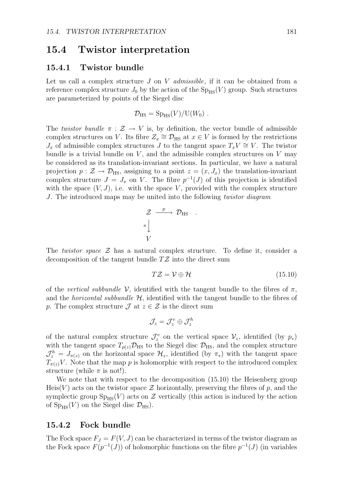### **15.4 Twistor interpretation**

#### **15.4.1 Twistor bundle**

Let us call a complex structure *J* on *V admissible*, if it can be obtained from a reference complex structure  $J_0$  by the action of the  $Sp_{HS}(V)$  group. Such structures are parameterized by points of the Siegel disc

$$
\mathcal{D}_{\rm HS} = {\rm Sp}_{\rm HS}(V)/{\rm U}(W_0) \ .
$$

The *twistor bundle*  $\pi$  :  $\mathcal{Z} \rightarrow V$  is, by definition, the vector bundle of admissible complex structures on *V*. Its fibre  $Z_x \cong \mathcal{D}_{\text{HS}}$  at  $x \in V$  is formed by the restrictions *J*<sup>*x*</sup> of admissible complex structures *J* to the tangent space  $T_xV$  ≃ *V*. The twistor bundle is a trivial bundle on *V* , and the admissible complex structures on *V* may be considered as its translation-invariant sections. In particular, we have a natural projection  $p : \mathcal{Z} \to \mathcal{D}_{\text{HS}}$ , assigning to a point  $z = (x, J_x)$  the translation-invariant complex structure  $J = J_x$  on *V*. The fibre  $p^{-1}(J)$  of this projection is identified with the space  $(V, J)$ , i.e. with the space V, provided with the complex structure *J*. The introduced maps may be united into the following *twistor diagram*

$$
\mathcal{Z} \xrightarrow{p} \mathcal{D}_{\text{HS}} \quad .
$$
  

$$
\pi \downarrow \qquad \qquad V
$$

The *twistor space Z* has a natural complex structure. To define it, consider a decomposition of the tangent bundle *TZ* into the direct sum

$$
TZ = V \oplus \mathcal{H} \tag{15.10}
$$

of the *vertical subbundle*  $V$ , identified with the tangent bundle to the fibres of  $\pi$ , and the *horizontal subbundle H*, identified with the tangent bundle to the fibres of *p*. The complex structure  $\mathcal{J}$  at  $z \in \mathcal{Z}$  is the direct sum

$$
\mathcal{J}_z = \mathcal{J}_z^v \oplus \mathcal{J}_z^h
$$

of the natural complex structure  $\mathcal{J}_z^v$  on the vertical space  $\mathcal{V}_z$ , identified (by  $p_*$ ) with the tangent space  $T_{p(z)}\mathcal{D}_{\text{HS}}$  to the Siegel disc  $\mathcal{D}_{\text{HS}}$ , and the complex structure  $\mathcal{J}_z^h = J_{\pi(z)}$  on the horizontal space  $\mathcal{H}_z$ , identified (by  $\pi_*$ ) with the tangent space  $T_{\pi(z)}V$ . Note that the map *p* is holomorphic with respect to the introduced complex structure (while  $\pi$  is not!).

We note that with respect to the decomposition (15.10) the Heisenberg group Heis( $V$ ) acts on the twistor space  $Z$  horizontally, preserving the fibres of  $p$ , and the symplectic group  $Sp_{HS}(V)$  acts on  $\mathcal Z$  vertically (this action is induced by the action of  $Sp_{HS}(V)$  on the Siegel disc  $\mathcal{D}_{HS}$ ).

### **15.4.2 Fock bundle**

The Fock space  $F_J = F(V, J)$  can be characterized in terms of the twistor diagram as the Fock space  $F(p^{-1}(J))$  of holomorphic functions on the fibre  $p^{-1}(J)$  (in variables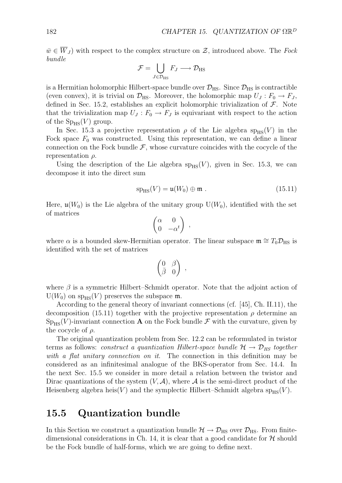$\overline{w} \in \overline{W}_J$  with respect to the complex structure on  $\mathcal{Z}$ , introduced above. The *Fock bundle*

$$
\mathcal{F} = \bigcup_{J \in \mathcal{D}_{\text{HS}}} F_J \longrightarrow \mathcal{D}_{\text{HS}}
$$

is a Hermitian holomorphic Hilbert-space bundle over  $\mathcal{D}_{\text{HS}}$ . Since  $\mathcal{D}_{\text{HS}}$  is contractible (even convex), it is trivial on  $\mathcal{D}_{\text{HS}}$ . Moreover, the holomorphic map  $U_J : F_0 \to F_J$ , defined in Sec. 15.2, establishes an explicit holomorphic trivialization of *F*. Note that the trivialization map  $U_J$ :  $F_0 \to F_J$  is equivariant with respect to the action of the  $Sp_{HS}(V)$  group.

In Sec. 15.3 a projective representation  $\rho$  of the Lie algebra sp<sub>HS</sub>(*V*) in the Fock space  $F_0$  was constructed. Using this representation, we can define a linear connection on the Fock bundle  $\mathcal{F}$ , whose curvature coincides with the cocycle of the representation *ρ*.

Using the description of the Lie algebra  $sp_{HS}(V)$ , given in Sec. 15.3, we can decompose it into the direct sum

$$
sp_{HS}(V) = \mathfrak{u}(W_0) \oplus \mathfrak{m} . \tag{15.11}
$$

Here,  $\mathfrak{u}(W_0)$  is the Lie algebra of the unitary group  $U(W_0)$ , identified with the set of matrices

$$
\begin{pmatrix} \alpha & 0 \\ 0 & -\alpha^t \end{pmatrix} ,
$$

where  $\alpha$  is a bounded skew-Hermitian operator. The linear subspace  $\mathfrak{m} \cong T_0 \mathcal{D}_{\text{HS}}$  is identified with the set of matrices

$$
\begin{pmatrix} 0 & \beta \\ \bar{\beta} & 0 \end{pmatrix} ,
$$

where  $\beta$  is a symmetric Hilbert–Schmidt operator. Note that the adjoint action of  $U(W_0)$  on sp<sub>HS</sub> $(V)$  preserves the subspace m.

According to the general theory of invariant connections (cf. [45], Ch. II.11), the decomposition (15.11) together with the projective representation  $\rho$  determine an  $Sp_{HS}(V)$ -invariant connection **A** on the Fock bundle *F* with the curvature, given by the cocycle of *ρ*.

The original quantization problem from Sec. 12.2 can be reformulated in twistor terms as follows: *construct a quantization Hilbert-space bundle*  $H \rightarrow \mathcal{D}_{HS}$  *together with a flat unitary connection on it*. The connection in this definition may be considered as an infinitesimal analogue of the BKS-operator from Sec. 14.4. In the next Sec. 15.5 we consider in more detail a relation between the twistor and Dirac quantizations of the system  $(V, \mathcal{A})$ , where  $\mathcal{A}$  is the semi-direct product of the Heisenberg algebra heis $(V)$  and the symplectic Hilbert–Schmidt algebra sp<sub>HS</sub> $(V)$ .

# **15.5 Quantization bundle**

In this Section we construct a quantization bundle  $H \rightarrow \mathcal{D}_{\text{HS}}$  over  $\mathcal{D}_{\text{HS}}$ . From finitedimensional considerations in Ch. 14, it is clear that a good candidate for  $H$  should be the Fock bundle of half-forms, which we are going to define next.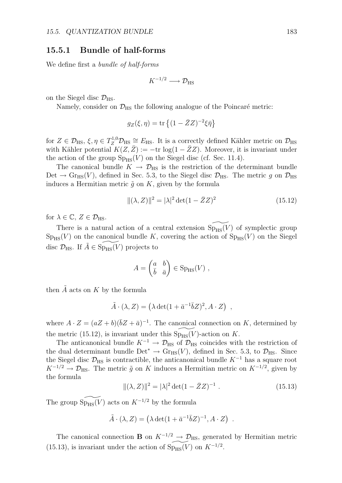### **15.5.1 Bundle of half-forms**

We define first a *bundle of half-forms*

$$
K^{-1/2} \longrightarrow \mathcal{D}_{\text{HS}}
$$

on the Siegel disc  $\mathcal{D}_{\text{HS}}$ .

Namely, consider on  $\mathcal{D}_{\text{HS}}$  the following analogue of the Poincaré metric:

$$
g_Z(\xi,\eta) = \text{tr}\left\{ (1 - \bar{Z}Z)^{-2} \xi \bar{\eta} \right\}
$$

 $\text{for } Z \in \mathcal{D}_{\text{HS}}, \xi, \eta \in T_Z^{1,0} \mathcal{D}_{\text{HS}} \cong E_{\text{HS}}.$  It is a correctly defined Kähler metric on  $\mathcal{D}_{\text{HS}}$ with Kähler potential  $K(Z, \bar{Z}) := -\text{tr} \log(1 - \bar{Z}Z)$ . Moreover, it is invariant under the action of the group  $Sp_{HS}(V)$  on the Siegel disc (cf. Sec. 11.4).

The canonical bundle  $K \to \mathcal{D}_{\text{HS}}$  is the restriction of the determinant bundle Det  $\rightarrow$  Gr<sub>HS</sub>(V), defined in Sec. 5.3, to the Siegel disc  $\mathcal{D}_{\text{HS}}$ . The metric *g* on  $\mathcal{D}_{\text{HS}}$ induces a Hermitian metric  $\tilde{g}$  on  $K$ , given by the formula

$$
\|(\lambda, Z)\|^2 = |\lambda|^2 \det(1 - \bar{Z}Z)^2 \tag{15.12}
$$

for  $\lambda \in \mathbb{C}, Z \in \mathcal{D}_{\text{HS}}.$ 

There is a natural action of a central extension  $Sp_{HS}(V)$  of symplectic group  $Sp_{HS}(V)$  on the canonical bundle K, covering the action of  $Sp_{HS}(V)$  on the Siegel disc  $\mathcal{D}_{\text{HS}}$ . If  $\tilde{A} \in \text{Sp}_{\text{HS}}(V)$  projects to

$$
A = \begin{pmatrix} a & b \\ \bar{b} & \bar{a} \end{pmatrix} \in \text{Sp}_{\text{HS}}(V) ,
$$

then  $\tilde{A}$  acts on  $K$  by the formula

$$
\tilde{A} \cdot (\lambda, Z) = (\lambda \det(1 + \bar{a}^{-1} \bar{b} Z)^2, A \cdot Z) ,
$$

where  $A \cdot Z = (aZ + b)(\overline{b}Z + \overline{a})^{-1}$ . The canonical connection on *K*, determined by the metric (15.12), is invariant under this  $Sp_{HS}(V)$ -action on *K*.

The anticanonical bundle  $K^{-1} \rightarrow \mathcal{D}_{\text{HS}}$  of  $\mathcal{D}_{\text{HS}}$  coincides with the restriction of the dual determinant bundle Det<sup>\*</sup>  $\rightarrow$  Gr<sub>HS</sub>(*V*), defined in Sec. 5.3, to  $\mathcal{D}_{\text{HS}}$ . Since the Siegel disc  $\mathcal{D}_{\text{HS}}$  is contractible, the anticanonical bundle  $K^{-1}$  has a square root  $K^{-1/2} \rightarrow \mathcal{D}_{\text{HS}}$ . The metric  $\tilde{g}$  on *K* induces a Hermitian metric on  $K^{-1/2}$ , given by the formula

$$
\|(\lambda, Z)\|^2 = |\lambda|^2 \det(1 - \bar{Z}Z)^{-1} . \tag{15.13}
$$

The group  $Sp_{HS}(V)$  acts on  $K^{-1/2}$  by the formula

$$
\tilde{A} \cdot (\lambda, Z) = (\lambda \det(1 + \bar{a}^{-1} \bar{b} Z)^{-1}, A \cdot Z) .
$$

The canonical connection **B** on  $K^{-1/2} \rightarrow \mathcal{D}_{\text{HS}}$ , generated by Hermitian metric (15.13), is invariant under the action of  $Sp_{HS}(V)$  on  $K^{-1/2}$ .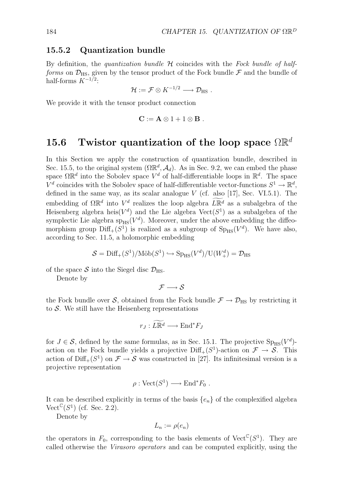### **15.5.2 Quantization bundle**

By definition, the *quantization bundle H* coincides with the *Fock bundle of halfforms* on  $\mathcal{D}_{\text{HS}}$ , given by the tensor product of the Fock bundle  $\mathcal F$  and the bundle of half-forms *K<sup>−</sup>*1*/*<sup>2</sup>:

$$
\mathcal{H}:=\mathcal{F}\otimes K^{-1/2}\longrightarrow \mathcal{D}_{\text{HS}}\ .
$$

We provide it with the tensor product connection

$$
\mathbf{C}:=\mathbf{A}\otimes 1+1\otimes \mathbf{B} \ .
$$

### **15.6 Twistor quantization of the loop space** ΩR*<sup>d</sup>*

In this Section we apply the construction of quantization bundle, described in Sec. 15.5, to the original system  $(\Omega \mathbb{R}^d, \mathcal{A}_d)$ . As in Sec. 9.2, we can embed the phase space  $\Omega \mathbb{R}^d$  into the Sobolev space  $V^d$  of half-differentiable loops in  $\mathbb{R}^d$ . The space  $V^d$  coincides with the Sobolev space of half-differentiable vector-functions  $S^1 \to \mathbb{R}^d$ , defined in the same way, as its scalar analogue *V* (cf. also [17], Sec. VI.5.1). The embedding of  $\Omega \mathbb{R}^d$  into  $V^d$  realizes the loop algebra  $L \mathbb{R}^d$  as a subalgebra of the Heisenberg algebra heis $(V^d)$  and the Lie algebra  $Vect(S^1)$  as a subalgebra of the symplectic Lie algebra  $\text{sp}_{\text{HS}}(V^d)$ . Moreover, under the above embedding the diffeomorphism group  $Diff_{+}(S^{1})$  is realized as a subgroup of  $Sp_{HS}(V^{d})$ . We have also, according to Sec. 11.5, a holomorphic embedding

$$
S = \text{Diff}_{+}(S^1)/\text{M\"ob}(S^1) \hookrightarrow \text{Sp}_{\text{HS}}(V^d)/\text{U}(W^d_+) = \mathcal{D}_{\text{HS}}
$$

of the space  $S$  into the Siegel disc  $\mathcal{D}_{\text{HS}}$ .

Denote by

$$
\mathcal{F} \longrightarrow \mathcal{S}
$$

the Fock bundle over *S*, obtained from the Fock bundle  $\mathcal{F} \to \mathcal{D}_{\text{HS}}$  by restricting it to *S*. We still have the Heisenberg representations

$$
r_J: L\overline{\mathbb{R}^d} \longrightarrow \text{End}^*F_J
$$

for  $J \in \mathcal{S}$ , defined by the same formulas, as in Sec. 15.1. The projective  $Sp_{HS}(V^d)$ action on the Fock bundle yields a projective Diff<sub>+</sub>( $S<sup>1</sup>$ )-action on  $\mathcal{F} \to \mathcal{S}$ . This action of  $\text{Diff}_+(S^1)$  on  $\mathcal{F} \to \mathcal{S}$  was constructed in [27]. Its infinitesimal version is a projective representation

$$
\rho : \text{Vect}(S^1) \longrightarrow \text{End}^*F_0 .
$$

It can be described explicitly in terms of the basis  ${e_n}$  of the complexified algebra Vect<sup> $\mathbb{C}(S^1)$  (cf. Sec. 2.2).</sup>

Denote by

$$
L_n := \rho(e_n)
$$

the operators in  $F_0$ , corresponding to the basis elements of Vect<sup>C</sup>( $S^1$ ). They are called otherwise the *Virasoro operators* and can be computed explicitly, using the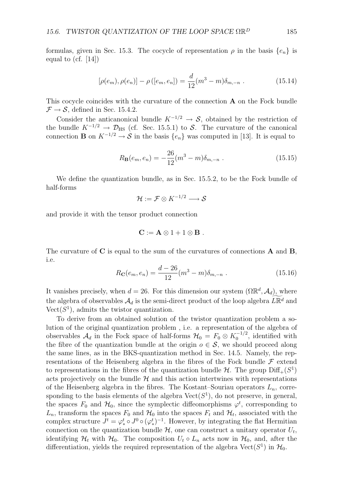formulas, given in Sec. 15.3. The cocycle of representation  $\rho$  in the basis  $\{e_n\}$  is equal to  $(cf. [14])$ 

$$
[\rho(e_m), \rho(e_n)] - \rho([e_m, e_n]) = \frac{d}{12}(m^3 - m)\delta_{m, -n}.
$$
 (15.14)

This cocycle coincides with the curvature of the connection **A** on the Fock bundle  $\mathcal{F} \rightarrow \mathcal{S}$ , defined in Sec. 15.4.2.

Consider the anticanonical bundle  $K^{-1/2} \rightarrow S$ , obtained by the restriction of the bundle  $K^{-1/2} \rightarrow \mathcal{D}_{\text{HS}}$  (cf. Sec. 15.5.1) to *S*. The curvature of the canonical connection **B** on  $K^{-1/2} \to S$  in the basis  $\{e_n\}$  was computed in [13]. It is equal to

$$
R_{\mathbf{B}}(e_m, e_n) = -\frac{26}{12}(m^3 - m)\delta_{m,-n} .
$$
 (15.15)

We define the quantization bundle, as in Sec. 15.5.2, to be the Fock bundle of half-forms

$$
\mathcal{H} := \mathcal{F} \otimes K^{-1/2} \longrightarrow \mathcal{S}
$$

and provide it with the tensor product connection

$$
\mathbf{C}:=\mathbf{A}\otimes 1+1\otimes \mathbf{B} \ .
$$

The curvature of **C** is equal to the sum of the curvatures of connections **A** and **B**, i.e.

$$
R_{\mathbf{C}}(e_m, e_n) = \frac{d - 26}{12}(m^3 - m)\delta_{m, -n} . \tag{15.16}
$$

It vanishes precisely, when  $d = 26$ . For this dimension our system  $(\Omega \mathbb{R}^d, \mathcal{A}_d)$ , where the algebra of observables  $\mathcal{A}_d$  is the semi-direct product of the loop algebra  $L\mathbb{R}^d$  and  $Vect(S<sup>1</sup>)$ , admits the twistor quantization.

To derive from an obtained solution of the twistor quantization problem a solution of the original quantization problem , i.e. a representation of the algebra of observables  $A_d$  in the Fock space of half-forms  $H_0 = F_0 \otimes K_0^{-1/2}$ , identified with the fibre of the quantization bundle at the origin  $o \in \mathcal{S}$ , we should proceed along the same lines, as in the BKS-quantization method in Sec. 14.5. Namely, the representations of the Heisenberg algebra in the fibres of the Fock bundle  $\mathcal F$  extend to representations in the fibres of the quantization bundle  $H$ . The group  $\text{Diff}_+(S^1)$ acts projectively on the bundle  $H$  and this action intertwines with representations of the Heisenberg algebra in the fibres. The Kostant–Souriau operators *Ln*, corresponding to the basis elements of the algebra  $Vect(S^1)$ , do not preserve, in general, the spaces  $F_0$  and  $H_0$ , since the symplectic diffeomorphisms  $\varphi^t$ , corresponding to  $L_n$ , transform the spaces  $F_0$  and  $H_0$  into the spaces  $F_t$  and  $H_t$ , associated with the complex structure  $J^t = \varphi_*^t \circ J^0 \circ (\varphi_*^t)^{-1}$ . However, by integrating the flat Hermitian connection on the quantization bundle  $H$ , one can construct a unitary operator  $U_t$ , identifying  $\mathcal{H}_t$  with  $\mathcal{H}_0$ . The composition  $U_t \circ L_n$  acts now in  $\mathcal{H}_0$ , and, after the differentiation, yields the required representation of the algebra  $Vect(S^1)$  in  $\mathcal{H}_0$ .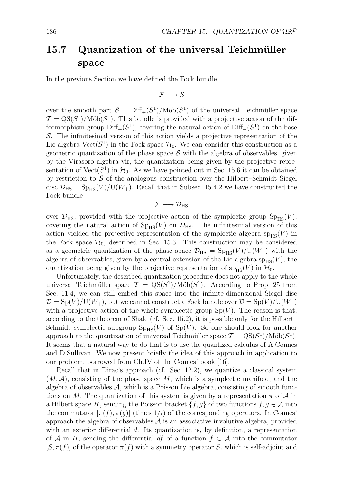# 15.7 Quantization of the universal Teichmüller **space**

In the previous Section we have defined the Fock bundle

$$
\mathcal{F} \longrightarrow \mathcal{S}
$$

over the smooth part  $S = \text{Diff}_+(S^1)/\text{M\"ob}(S^1)$  of the universal Teichmüller space  $\mathcal{T} = \text{QS}(S^1)/\text{M\"ob}(S^1)$ . This bundle is provided with a projective action of the diffeomorphism group  $\text{Diff}_+(S^1)$ , covering the natural action of  $\text{Diff}_+(S^1)$  on the base *S*. The infinitesimal version of this action yields a projective representation of the Lie algebra  $Vect(S^1)$  in the Fock space  $\mathcal{H}_0$ . We can consider this construction as a geometric quantization of the phase space  $S$  with the algebra of observables, given by the Virasoro algebra vir, the quantization being given by the projective representation of Vect( $S^1$ ) in  $\mathcal{H}_0$ . As we have pointed out in Sec. 15.6 it can be obtained by restriction to  $S$  of the analogous construction over the Hilbert–Schmidt Siegel disc  $\mathcal{D}_{\text{HS}} = \text{Sp}_{\text{HS}}(V)/\text{U}(W_+)$ . Recall that in Subsec. 15.4.2 we have constructed the Fock bundle

$$
\mathcal{F}\longrightarrow \mathcal{D}_{\text{HS}}
$$

over  $\mathcal{D}_{\text{HS}}$ , provided with the projective action of the symplectic group  $Sp_{\text{HS}}(V)$ , covering the natural action of  $Sp_{HS}(V)$  on  $\mathcal{D}_{HS}$ . The infinitesimal version of this action yielded the projective representation of the symplectic algebra  $sp_{HS}(V)$  in the Fock space  $\mathcal{H}_0$ , described in Sec. 15.3. This construction may be considered as a geometric quantization of the phase space  $\mathcal{D}_{\rm HS} = {\rm Sp}_{\rm HS}(V)/U(W_+)$  with the algebra of observables, given by a central extension of the Lie algebra  $sp_{HS}(V)$ , the quantization being given by the projective representation of  $sp_{HS}(V)$  in  $\mathcal{H}_0$ .

Unfortunately, the described quantization procedure does not apply to the whole universal Teichmüller space  $\mathcal{T} = \text{QS}(S^1)/\text{M\"ob}(S^1)$ . According to Prop. 25 from Sec. 11.4, we can still embed this space into the infinite-dimensional Siegel disc  $\mathcal{D} = \text{Sp}(V)/\text{U}(W_+),$  but we cannot construct a Fock bundle over  $\mathcal{D} = \text{Sp}(V)/\text{U}(W_+)$ with a projective action of the whole symplectic group  $Sp(V)$ . The reason is that, according to the theorem of Shale (cf. Sec. 15.2), it is possible only for the Hilbert– Schmidt symplectic subgroup  $Sp_{HS}(V)$  of  $Sp(V)$ . So one should look for another approach to the quantization of universal Teichmüller space  $\mathcal{T} = \text{QS}(S^1)/\text{M\"ob}(S^1)$ . It seems that a natural way to do that is to use the quantized calculus of A.Connes and D.Sullivan. We now present briefly the idea of this approach in application to our problem, borrowed from Ch.IV of the Connes' book [16].

Recall that in Dirac's approach (cf. Sec. 12.2), we quantize a classical system  $(M, \mathcal{A})$ , consisting of the phase space M, which is a symplectic manifold, and the algebra of observables *A*, which is a Poisson Lie algebra, consisting of smooth functions on *M*. The quantization of this system is given by a representation  $\pi$  of  $\mathcal A$  in a Hilbert space *H*, sending the Poisson bracket  $\{f, g\}$  of two functions  $f, g \in \mathcal{A}$  into the commutator  $[\pi(f), \pi(g)]$  (times  $1/i$ ) of the corresponding operators. In Connes' approach the algebra of observables  $A$  is an associative involutive algebra, provided with an exterior differential *d*. Its quantization is, by definition, a representation of *A* in *H*, sending the differential *df* of a function  $f \in A$  into the commutator  $[S, \pi(f)]$  of the operator  $\pi(f)$  with a symmetry operator *S*, which is self-adjoint and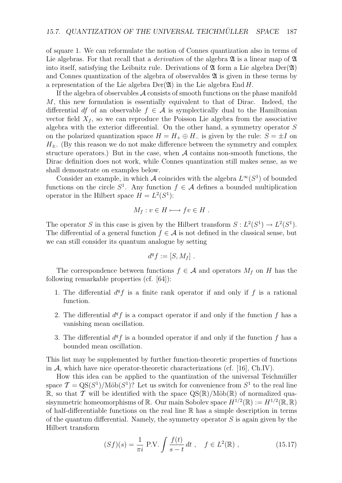of square 1. We can reformulate the notion of Connes quantization also in terms of Lie algebras. For that recall that a *derivation* of the algebra  $\mathfrak{A}$  is a linear map of  $\mathfrak{A}$ into itself, satisfying the Leibnitz rule. Derivations of  $\mathfrak A$  form a Lie algebra Der( $\mathfrak A$ ) and Connes quantization of the algebra of observables  $\mathfrak A$  is given in these terms by a representation of the Lie algebra  $Der(\mathfrak{A})$  in the Lie algebra  $End H$ .

If the algebra of observables *A* consists of smooth functions on the phase manifold *M*, this new formulation is essentially equivalent to that of Dirac. Indeed, the differential *df* of an observable  $f \in \mathcal{A}$  is symplectically dual to the Hamiltonian vector field  $X_f$ , so we can reproduce the Poisson Lie algebra from the associative algebra with the exterior differential. On the other hand, a symmetry operator *S* on the polarized quantization space  $H = H_+ \oplus H_-$  is given by the rule:  $S = \pm I$  on  $H_{\pm}$ . (By this reason we do not make difference between the symmetry and complex structure operators.) But in the case, when  $A$  contains non-smooth functions, the Dirac definition does not work, while Connes quantization still makes sense, as we shall demonstrate on examples below.

Consider an example, in which *A* coincides with the algebra  $L^{\infty}(S^1)$  of bounded functions on the circle  $S^1$ . Any function  $f \in \mathcal{A}$  defines a bounded multiplication operator in the Hilbert space  $H = L^2(S^1)$ :

$$
M_f: v \in H \longmapsto fv \in H.
$$

The operator *S* in this case is given by the Hilbert transform  $S: L^2(S^1) \to L^2(S^1)$ . The differential of a general function  $f \in \mathcal{A}$  is not defined in the classical sense, but we can still consider its quantum analogue by setting

$$
d^q f := [S, M_f].
$$

The correspondence between functions  $f \in \mathcal{A}$  and operators  $M_f$  on *H* has the following remarkable properties (cf. [64]):

- 1. The differential  $d^q f$  is a finite rank operator if and only if f is a rational function.
- 2. The differential  $d^q f$  is a compact operator if and only if the function  $f$  has a vanishing mean oscillation.
- 3. The differential  $d^q f$  is a bounded operator if and only if the function  $f$  has a bounded mean oscillation.

This list may be supplemented by further function-theoretic properties of functions in  $A$ , which have nice operator-theoretic characterizations (cf. [16], Ch.IV).

How this idea can be applied to the quantization of the universal Teichmüller space  $\mathcal{T} = \text{QS}(S^1)/\text{M\"ob}(S^1)$ ? Let us switch for convenience from  $S^1$  to the real line R, so that *T* will be identified with the space  $\mathrm{QS}(\mathbb{R})/\mathrm{M\ddot{o}b}(\mathbb{R})$  of normalized quasisymmetric homeomorphisms of R. Our main Sobolev space  $H^{1/2}(\mathbb{R}) := H^{1/2}(\mathbb{R}, \mathbb{R})$ of half-differentiable functions on the real line  $\mathbb R$  has a simple description in terms of the quantum differential. Namely, the symmetry operator *S* is again given by the Hilbert transform

$$
(Sf)(s) = \frac{1}{\pi i} \text{ P.V.} \int \frac{f(t)}{s - t} dt , \quad f \in L^{2}(\mathbb{R}) ,
$$
 (15.17)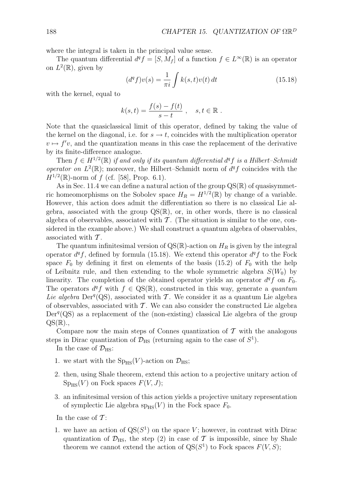where the integral is taken in the principal value sense.

The quantum differential  $d^q f = [S, M_f]$  of a function  $f \in L^{\infty}(\mathbb{R})$  is an operator on  $L^2(\mathbb{R})$ , given by

$$
(dq f)v(s) = \frac{1}{\pi i} \int k(s, t)v(t) dt
$$
\n(15.18)

with the kernel, equal to

$$
k(s,t) = \frac{f(s) - f(t)}{s - t}, \quad s, t \in \mathbb{R}.
$$

Note that the quasiclassical limit of this operator, defined by taking the value of the kernel on the diagonal, i.e. for  $s \to t$ , coincides with the multiplication operator  $v \mapsto f'v$ , and the quantization means in this case the replacement of the derivative by its finite-difference analogue.

Then  $f \in H^{1/2}(\mathbb{R})$  *if and only if its quantum differential*  $d^q f$  *is a Hilbert–Schmidt operator on*  $L^2(\mathbb{R})$ ; moreover, the Hilbert–Schmidt norm of  $d^q f$  coincides with the  $H^{1/2}(\mathbb{R})$ -norm of *f* (cf. [58], Prop. 6.1).

As in Sec. 11.4 we can define a natural action of the group  $\mathrm{QS}(\mathbb{R})$  of quasisymmetric homeomorphisms on the Sobolev space  $H_R = H^{1/2}(\mathbb{R})$  by change of a variable. However, this action does admit the differentiation so there is no classical Lie algebra, associated with the group  $\text{QS}(\mathbb{R})$ , or, in other words, there is no classical algebra of observables, associated with *T* . (The situation is similar to the one, considered in the example above.) We shall construct a quantum algebra of observables, associated with *T* .

The quantum infinitesimal version of  $QS(\mathbb{R})$ -action on  $H_R$  is given by the integral operator  $d^q f$ , defined by formula (15.18). We extend this operator  $d^q f$  to the Fock space  $F_0$  by defining it first on elements of the basis (15.2) of  $F_0$  with the help of Leibnitz rule, and then extending to the whole symmetric algebra  $S(W_0)$  by linearity. The completion of the obtained operator yields an operator  $d^q f$  on  $F_0$ . The operators  $d^q f$  with  $f \in \text{QS}(\mathbb{R})$ , constructed in this way, generate a *quantum* Lie algebra  $Der^q(QS)$ , associated with *T*. We consider it as a quantum Lie algebra of observables, associated with *T* . We can also consider the constructed Lie algebra Der<sup>q</sup>(QS) as a replacement of the (non-existing) classical Lie algebra of the group  $QS(\mathbb{R})$ .,

Compare now the main steps of Connes quantization of  $\mathcal T$  with the analogous steps in Dirac quantization of  $\mathcal{D}_{\text{HS}}$  (returning again to the case of  $S^1$ ).

In the case of  $\mathcal{D}_{\text{HS}}$ :

- 1. we start with the  $Sp_{HS}(V)$ -action on  $\mathcal{D}_{HS}$ ;
- 2. then, using Shale theorem, extend this action to a projective unitary action of  $Sp_{HS}(V)$  on Fock spaces  $F(V, J)$ ;
- 3. an infinitesimal version of this action yields a projective unitary representation of symplectic Lie algebra  $sp_{HS}(V)$  in the Fock space  $F_0$ .

In the case of *T* :

1. we have an action of  $QS(S^1)$  on the space *V*; however, in contrast with Dirac quantization of  $\mathcal{D}_{\text{HS}}$ , the step (2) in case of  $\mathcal T$  is impossible, since by Shale theorem we cannot extend the action of  $QS(S^1)$  to Fock spaces  $F(V, S)$ ;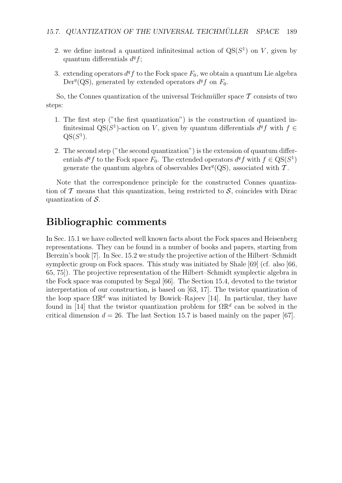- 2. we define instead a quantized infinitesimal action of  $QS(S^1)$  on *V*, given by quantum differentials  $d^q f$ ;
- 3. extending operators  $d^q f$  to the Fock space  $F_0$ , we obtain a quantum Lie algebra Der<sup>q</sup>(QS), generated by extended operators  $d^q f$  on  $F_0$ .

So, the Connes quantization of the universal Teichmüller space  $\mathcal T$  consists of two steps:

- 1. The first step ("the first quantization") is the construction of quantized infinitesimal QS( $S^1$ )-action on *V*, given by quantum differentials  $d^q f$  with  $f \in$  $QS(S^1)$ .
- 2. The second step ("the second quantization") is the extension of quantum differentials  $d^q f$  to the Fock space  $F_0$ . The extended operators  $d^q f$  with  $f \in \text{QS}(S^1)$ generate the quantum algebra of observables  $Der^q(QS)$ , associated with  $\mathcal T$ .

Note that the correspondence principle for the constructed Connes quantization of  $\mathcal T$  means that this quantization, being restricted to  $\mathcal S$ , coincides with Dirac quantization of *S*.

# **Bibliographic comments**

In Sec. 15.1 we have collected well known facts about the Fock spaces and Heisenberg representations. They can be found in a number of books and papers, starting from Berezin's book [7]. In Sec. 15.2 we study the projective action of the Hilbert–Schmidt symplectic group on Fock spaces. This study was initiated by Shale [69] (cf. also [66, 65, 75]). The projective representation of the Hilbert–Schmidt symplectic algebra in the Fock space was computed by Segal [66]. The Section 15.4, devoted to the twistor interpretation of our construction, is based on [63, 17]. The twistor quantization of the loop space  $\Omega \mathbb{R}^d$  was initiated by Bowick–Rajeev [14]. In particular, they have found in [14] that the twistor quantization problem for  $\Omega \mathbb{R}^d$  can be solved in the critical dimension  $d = 26$ . The last Section 15.7 is based mainly on the paper [67].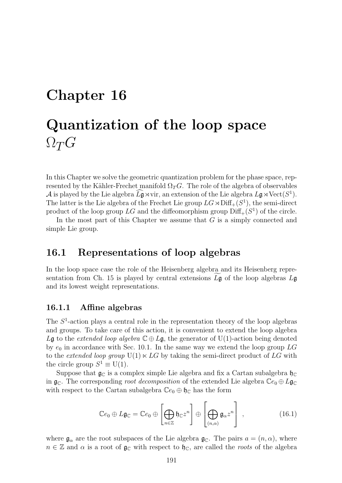# **Chapter 16 Quantization of the loop space**  $\Omega_T G$

In this Chapter we solve the geometric quantization problem for the phase space, represented by the Kähler-Frechet manifold  $\Omega_T G$ . The role of the algebra of observables *A* is played by the Lie algebra  $L\mathfrak{g} \rtimes \text{vir}$ , an extension of the Lie algebra  $L\mathfrak{g} \rtimes \text{Vect}(S^1)$ .<br>The latter is the Lie algebra of the Freehet Lie group  $LC \cup \text{Diff} (C^1)$ , the seni-direct The latter is the Lie algebra of the Frechet Lie group  $LG \rtimes \text{Diff}_+(S^1)$ , the semi-direct product of the loop group  $LG$  and the diffeomorphism group  $\text{Diff}_+(S^1)$  of the circle.

In the most part of this Chapter we assume that *G* is a simply connected and simple Lie group.

# **16.1 Representations of loop algebras**

In the loop space case the role of the Heisenberg algebra and its Heisenberg representation from Ch. 15 is played by central extensions  $L\mathfrak{g}$  of the loop algebras  $L\mathfrak{g}$ and its lowest weight representations.

### **16.1.1 Affine algebras**

The *S*<sup>1</sup>-action plays a central role in the representation theory of the loop algebras and groups. To take care of this action, it is convenient to extend the loop algebra *L*g to the *extended loop algebra*  $\mathbb{C} \oplus L$ g, the generator of U(1)-action being denoted by  $e_0$  in accordance with Sec. 10.1. In the same way we extend the loop group  $LG$ to the *extended loop group*  $U(1) \times LG$  by taking the semi-direct product of *LG* with the circle group  $S^1 \equiv U(1)$ .

Suppose that  $\mathfrak{g}_{\mathbb{C}}$  is a complex simple Lie algebra and fix a Cartan subalgebra  $\mathfrak{h}_{\mathbb{C}}$ in  $\mathfrak{g}_\mathbb{C}$ . The corresponding *root decomposition* of the extended Lie algebra  $\mathbb{C}e_0 \oplus L\mathfrak{g}_\mathbb{C}$ with respect to the Cartan subalgebra  $\mathbb{C}e_0 \oplus \mathfrak{h}_\mathbb{C}$  has the form

$$
\mathbb{C}e_0 \oplus L\mathfrak{g}_{\mathbb{C}} = \mathbb{C}e_0 \oplus \left[\bigoplus_{n \in \mathbb{Z}} \mathfrak{h}_{\mathbb{C}} z^n\right] \oplus \left[\bigoplus_{(n,\alpha)} \mathfrak{g}_{\alpha} z^n\right],\tag{16.1}
$$

where  $\mathfrak{g}_{\alpha}$  are the root subspaces of the Lie algebra  $\mathfrak{g}_{\mathbb{C}}$ . The pairs  $a = (n, \alpha)$ , where  $n \in \mathbb{Z}$  and  $\alpha$  is a root of  $\mathfrak{g}_\mathbb{C}$  with respect to  $\mathfrak{h}_\mathbb{C}$ , are called the *roots* of the algebra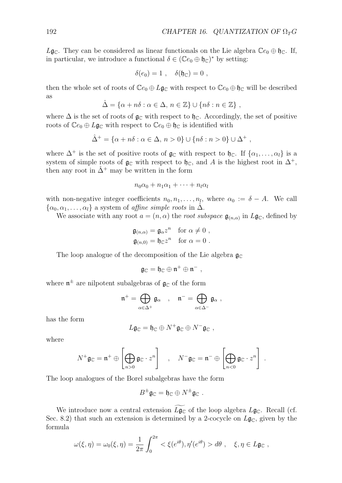$L\mathfrak{g}_\mathbb{C}$ . They can be considered as linear functionals on the Lie algebra  $\mathbb{C}e_0 \oplus \mathfrak{h}_\mathbb{C}$ . If, in particular, we introduce a functional  $\delta \in (\mathbb{C}e_0 \oplus \mathfrak{h}_{\mathbb{C}})^*$  by setting:

$$
\delta(e_0) = 1 \; , \quad \delta(\mathfrak{h}_{\mathbb{C}}) = 0 \; ,
$$

then the whole set of roots of  $\mathbb{C}e_0 \oplus L\mathfrak{g}_\mathbb{C}$  with respect to  $\mathbb{C}e_0 \oplus \mathfrak{h}_\mathbb{C}$  will be described as

$$
\hat{\Delta} = \{ \alpha + n\delta : \alpha \in \Delta, n \in \mathbb{Z} \} \cup \{ n\delta : n \in \mathbb{Z} \},
$$

where  $\Delta$  is the set of roots of  $\mathfrak{g}_{\mathbb{C}}$  with respect to  $\mathfrak{h}_{\mathbb{C}}$ . Accordingly, the set of positive roots of  $\mathbb{C}e_0 \oplus L\mathfrak{g}_\mathbb{C}$  with respect to  $\mathbb{C}e_0 \oplus \mathfrak{h}_\mathbb{C}$  is identified with

$$
\hat{\Delta}^+ = \{ \alpha + n\delta : \alpha \in \Delta, n > 0 \} \cup \{ n\delta : n > 0 \} \cup \Delta^+ ,
$$

where  $\Delta^+$  is the set of positive roots of  $\mathfrak{g}_\mathbb{C}$  with respect to  $\mathfrak{h}_\mathbb{C}$ . If  $\{\alpha_1, \ldots, \alpha_l\}$  is a system of simple roots of  $\mathfrak{g}_{\mathbb{C}}$  with respect to  $\mathfrak{h}_{\mathbb{C}}$ , and *A* is the highest root in  $\Delta^+$ , then any root in  $\hat{\Delta}^+$  may be written in the form

$$
n_0\alpha_0 + n_1\alpha_1 + \cdots + n_l\alpha_l
$$

with non-negative integer coefficients  $n_0, n_1, \ldots, n_l$ , where  $\alpha_0 := \delta - A$ . We call  $\{\alpha_0, \alpha_1, \ldots, \alpha_l\}$  a system of *affine simple roots* in  $\Delta$ .

We associate with any root  $a = (n, \alpha)$  the *root subspace*  $\mathfrak{g}_{(n,\alpha)}$  in  $L\mathfrak{g}_{\mathbb{C}}$ , defined by

$$
\mathfrak{g}_{(n,\alpha)} = \mathfrak{g}_{\alpha} z^n \quad \text{for } \alpha \neq 0 ,
$$
  

$$
\mathfrak{g}_{(n,0)} = \mathfrak{h}_{\mathbb{C}} z^n \quad \text{for } \alpha = 0 .
$$

The loop analogue of the decomposition of the Lie algebra  $\mathfrak{g}_{\mathbb{C}}$ 

$$
\mathfrak{g}_\mathbb{C}=\mathfrak{h}_\mathbb{C}\oplus\mathfrak{n}^+\oplus\mathfrak{n}^-\ ,
$$

where  $\mathfrak{n}^{\pm}$  are nilpotent subalgebras of  $\mathfrak{g}_{\mathbb{C}}$  of the form

$$
\mathfrak{n}^+ = \bigoplus_{\alpha \in \Delta^+} \mathfrak{g}_{\alpha} \quad , \quad \mathfrak{n}^- = \bigoplus_{\alpha \in \Delta^-} \mathfrak{g}_{\alpha} \ ,
$$

has the form

$$
L\mathfrak{g}_\mathbb{C}=\mathfrak{h}_\mathbb{C}\oplus N^+\mathfrak{g}_\mathbb{C}\oplus N^-\mathfrak{g}_\mathbb{C} \ ,
$$

where

$$
N^+ \mathfrak{g}_{\mathbb{C}} = \mathfrak{n}^+ \oplus \left[ \bigoplus_{n>0} \mathfrak{g}_{\mathbb{C}} \cdot z^n \right] \quad , \quad N^- \mathfrak{g}_{\mathbb{C}} = \mathfrak{n}^- \oplus \left[ \bigoplus_{n<0} \mathfrak{g}_{\mathbb{C}} \cdot z^n \right] \ .
$$

The loop analogues of the Borel subalgebras have the form

$$
B^{\pm} \mathfrak{g}_{\mathbb{C}} = \mathfrak{h}_{\mathbb{C}} \oplus N^{\pm} \mathfrak{g}_{\mathbb{C}} .
$$

We introduce now a central extension  $L\mathfrak{g}_{\mathbb{C}}$  of the loop algebra  $L\mathfrak{g}_{\mathbb{C}}$ . Recall (cf. 8.2) that such an extension is determined by a 2 seconds on  $L\mathfrak{g}_{\mathbb{C}}$ , without her the Sec. 8.2) that such an extension is determined by a 2-cocycle on  $L\mathfrak{g}_\mathbb{C}$ , given by the formula

$$
\omega(\xi,\eta) = \omega_0(\xi,\eta) = \frac{1}{2\pi} \int_0^{2\pi} \langle \xi(e^{i\theta}), \eta'(e^{i\theta}) \rangle d\theta , \quad \xi, \eta \in L\mathfrak{g}_\mathbb{C} ,
$$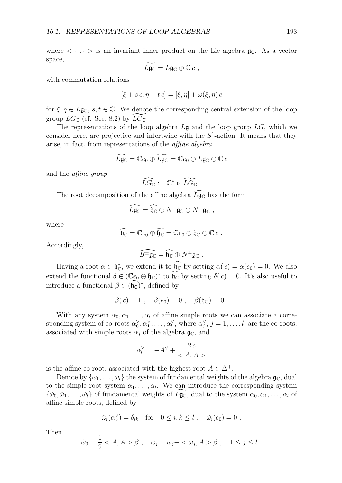$$
\widetilde{L}\widetilde{\mathfrak{g}}_{\mathbb{C}}=L\mathfrak{g}_{\mathbb{C}}\oplus\mathbb{C} c\;,
$$

with commutation relations

$$
[\xi + sc, \eta + tc] = [\xi, \eta] + \omega(\xi, \eta) c
$$

for  $\xi, \eta \in L\mathfrak{g}_{\mathbb{C}}$ ,  $s, t \in \mathbb{C}$ . We denote the corresponding central extension of the loop group  $LG_{\mathbb{C}}$  (cf. Sec. 8.2) by  $L\overline{G}_{\mathbb{C}}$ .

The representations of the loop algebra *L*g and the loop group *LG*, which we consider here, are projective and intertwine with the  $S<sup>1</sup>$ -action. It means that they arise, in fact, from representations of the *affine algebra*

$$
\widehat{L\mathfrak{g}_\mathbb{C}} = \mathbb{C}e_0 \oplus \widetilde{L\mathfrak{g}_\mathbb{C}} = \mathbb{C}e_0 \oplus L\mathfrak{g}_\mathbb{C} \oplus \mathbb{C}c
$$

and the *affine group*

$$
\widehat{LG}_{\mathbb{C}} := \mathbb{C}^* \ltimes \widetilde{LG}_{\mathbb{C}}.
$$

The root decomposition of the affine algebra  $L\mathfrak{g}_{\mathbb{C}}$  has the form

$$
\widehat{L}\mathfrak{g}_{\mathbb{C}}=\widehat{\mathfrak{h}_{\mathbb{C}}}\oplus N^{+}\mathfrak{g}_{\mathbb{C}}\oplus N^{-}\mathfrak{g}_{\mathbb{C}} ,
$$

where

$$
\widehat{\mathfrak{h}_\mathbb{C}}=\mathbb{C}e_0\oplus \widetilde{\mathfrak{h}_\mathbb{C}}=\mathbb{C}e_0\oplus \mathfrak{h}_\mathbb{C}\oplus \mathbb{C}c.
$$

Accordingly,

$$
\widehat{B^\pm\mathfrak{g}_\mathbb{C}}=\widehat{\mathfrak{h}_\mathbb{C}}\oplus N^\pm\mathfrak{g}_\mathbb{C}\ .
$$

Having a root  $\alpha \in \mathfrak{h}_\mathbb{C}^*$ , we extend it to  $\mathfrak{h}_\mathbb{C}$  by setting  $\alpha(c) = \alpha(e_0) = 0$ . We also extend the functional  $\delta \in (\mathbb{C}e_0 \oplus \mathfrak{h}_\mathbb{C})^*$  to  $\mathfrak{h}_\mathbb{C}$  by setting  $\delta(c) = 0$ . It's also useful to introduce a functional  $\beta \in (\mathfrak{h}_{\mathbb{C}})^*$ , defined by

$$
\beta(c) = 1 \; , \quad \beta(e_0) = 0 \; , \quad \beta(\mathfrak{h}_\mathbb{C}) = 0 \; .
$$

With any system  $\alpha_0, \alpha_1, \ldots, \alpha_l$  of affine simple roots we can associate a corresponding system of co-roots  $\alpha_0^{\vee}, \alpha_1^{\vee}, \ldots, \alpha_l^{\vee}$ , where  $\alpha_j^{\vee}, j = 1, \ldots, l$ , are the co-roots, associated with simple roots  $\alpha_j$  of the algebra  $\mathfrak{g}_\mathbb{C}$ , and

$$
\alpha_0^\vee=-A^\vee+\frac{2\,c}{}
$$

is the affine co-root, associated with the highest root  $A \in \Delta^+$ .

Denote by  $\{\omega_1, \ldots, \omega_l\}$  the system of fundamental weights of the algebra  $\mathfrak{g}_\mathbb{C}$ , dual to the simple root system  $\alpha_1, \ldots, \alpha_l$ . We can introduce the corresponding system  $\{\hat{\omega}_0, \hat{\omega}_1, \dots, \hat{\omega}_l\}$  of fundamental weights of  $L\mathfrak{g}_\mathbb{C}$ , dual to the system  $\alpha_0, \alpha_1, \dots, \alpha_l$  of affine simple roots, defined by

$$
\hat{\omega}_i(\alpha_k^{\vee}) = \delta_{ik} \quad \text{for} \quad 0 \le i, k \le l \ , \quad \hat{\omega}_i(e_0) = 0 \ .
$$

Then

$$
\hat{\omega}_0 = \frac{1}{2} < A, A > \beta \;, \quad \hat{\omega}_j = \omega_j + < \omega_j, A > \beta \;, \quad 1 \leq j \leq l \; .
$$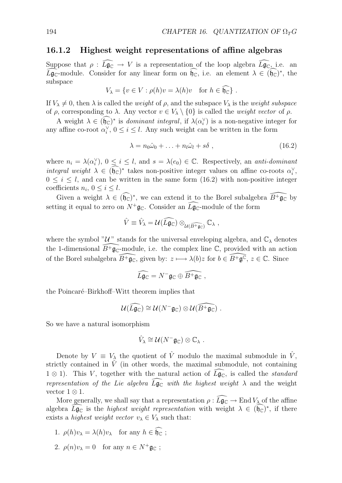### **16.1.2 Highest weight representations of affine algebras**

Suppose that  $\rho: L\mathfrak{g}_{\mathbb{C}} \to V$  is a representation of the loop algebra  $L\mathfrak{g}_{\mathbb{C}}$ , i.e. an *L***g**<sub>C</sub>-module. Consider for any linear form on  $θ$ <sub>C</sub>, i.e. an element *λ* ∈ ( $θ$ <sub>C</sub>)<sup>*∗*</sup>, the subspace

$$
V_{\lambda} = \{ v \in V : \rho(h)v = \lambda(h)v \text{ for } h \in \mathfrak{h}_{\mathbb{C}} \} .
$$

If  $V_{\lambda} \neq 0$ , then  $\lambda$  is called the *weight* of  $\rho$ , and the subspace  $V_{\lambda}$  is the *weight subspace* of *ρ*, corresponding to *λ*. Any vector *v ∈ V<sup>λ</sup> \ {*0*}* is called the *weight vector* of *ρ*.

A weight  $\lambda \in (\mathfrak{h}_\mathbb{C})^*$  is *dominant integral*, if  $\lambda(\alpha_i^\vee)$  is a non-negative integer for any affine co-root  $\alpha_i^{\vee}$ ,  $0 \leq i \leq l$ . Any such weight can be written in the form

$$
\lambda = n_0 \hat{\omega}_0 + \ldots + n_l \hat{\omega}_l + s \delta \tag{16.2}
$$

where  $n_i = \lambda(\alpha_i^{\vee})$ ,  $0 \leq i \leq l$ , and  $s = \lambda(e_0) \in \mathbb{C}$ . Respectively, an *anti-dominant integral weight*  $\lambda \in (\mathfrak{h}_\mathbb{C})^*$  takes non-positive integer values on affine co-roots  $\alpha_\lambda^\vee$ ,  $\alpha_\lambda^\vee$ ,  $\alpha_\lambda^\vee$ ,  $\alpha_\lambda^\vee$ ,  $\alpha_\lambda^\vee$ ,  $\alpha_\lambda^\vee$ ,  $\alpha_\lambda^\vee$ ,  $\alpha_\lambda^\vee$ ,  $\alpha_\lambda^\vee$ ,  $\alpha_\lambda^\vee$ ,  $\alpha_\lambda^\vee$ ,  $\alpha_\lambda^\ve$  $0 \leq i \leq l$ , and can be written in the same form (16.2) with non-positive integer coefficients  $n_i$ ,  $0 \leq i \leq l$ .

Given a weight  $\lambda \in (\mathfrak{h}_\mathbb{C})^*$ , we can extend it to the Borel subalgebra  $\overline{B}^+ \mathfrak{g}_\mathbb{C}^-$  by setting it equal to zero on  $N^+$ **g**<sub>C</sub>. Consider an  $\tilde{L}$ **g**<sub>C</sub>-module of the form

$$
\hat{V} \equiv \hat{V}_{\lambda} = \mathcal{U}(\widehat{L\mathfrak{g}_{\mathbb{C}}}) \otimes_{\mathcal{U}(\widehat{B^+\mathfrak{g}_{\mathbb{C}}})} \mathbb{C}_{\lambda},
$$

where the symbol " $\mathcal{U}$ " stands for the universal enveloping algebra, and  $\mathbb{C}_{\lambda}$  denotes the 1-dimensional  $\widehat{B}^+\mathfrak{g}_\mathbb{C}^-$  module, i.e. the complex line  $\mathbb{C}$ , provided with an action of the Borel subalgebra  $\widehat{B}^+\mathfrak{g}_\mathbb{C}$ , given by:  $z \mapsto \lambda(b)z$  for  $b \in \widehat{B}^+\mathfrak{g}^\mathbb{C}$ ,  $z \in \mathbb{C}$ . Since

$$
\widehat{L}\widehat{\mathfrak{g}_{\mathbb{C}}} = N^{-} \mathfrak{g}_{\mathbb{C}} \oplus \widehat{B^{+}\mathfrak{g}_{\mathbb{C}}} ,
$$

the Poincaré–Birkhoff–Witt theorem implies that

$$
\mathcal{U}(\widehat{L\mathfrak{g}_{\mathbb{C}}})\cong \mathcal{U}(N^{-}\mathfrak{g}_{\mathbb{C}})\otimes \mathcal{U}(\widehat{B^{+}\mathfrak{g}_{\mathbb{C}}})\ .
$$

So we have a natural isomorphism

$$
\hat{V}_{\lambda} \cong \mathcal{U}(N^{-}\mathfrak{g}_{\mathbb{C}}) \otimes \mathbb{C}_{\lambda} .
$$

Denote by  $V \equiv V_\lambda$  the quotient of  $\hat{V}$  modulo the maximal submodule in  $\hat{V}$ , strictly contained in  $\hat{V}$  (in other words, the maximal submodule, not containing 1 ⊗ 1). This *V*, together with the natural action of  $L\mathfrak{g}_\mathbb{C}$ , is called the *standard representation of the Lie algebra*  $L\mathfrak{g}_{\mathbb{C}}$  *with the highest weight*  $\lambda$  and the weight vector 1 *⊗* 1.

More generally, we shall say that a representation  $\rho : L\mathfrak{g}_{\mathbb{C}} \to \text{End } V_{\lambda}$  of the affine share  $\overline{L_{\infty}}$  is the highest unitable proposalistic with weight  $\lambda \in \widehat{L_{\infty}}^*$  if there algebra  $\tilde{L}$ **g**<sub>C</sub> is the *highest weight representation* with weight  $\lambda \in (\mathfrak{h}_C)^*$ , if there exists a *highest weight vector*  $v_{\lambda} \in V_{\lambda}$  such that:

- 1.  $\rho(h)v_{\lambda} = \lambda(h)v_{\lambda}$  for any  $h \in \mathfrak{h}_{\mathbb{C}}$ ;
- 2.  $\rho(n)v_{\lambda} = 0$  for any  $n \in N^+$ **g**<sub>C</sub>;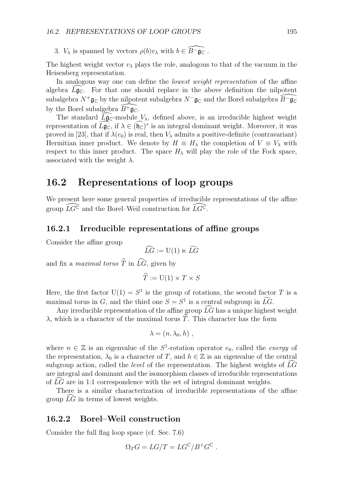3. *V*<sub> $\lambda$ </sub> is spanned by vectors  $\rho(b)v_{\lambda}$  with  $b \in \overline{B}^-\mathfrak{g}_\mathbb{C}$ .

The highest weight vector  $v_{\lambda}$  plays the role, analogous to that of the vacuum in the Heisenberg representation.

In analogous way one can define the *lowest weight representation* of the affine algebra  $L\mathfrak{g}_\mathbb{C}$ . For that one should replace in the above definition the nilpotent subalgebra  $N^+$ g $_{\mathbb C}$  by the nilpotent subalgebra  $N^-$ g $_{\mathbb C}$  and the Borel subalgebra  $\widehat B^-$ g $_{\mathbb C}$ by the Borel subalgebra  $\widehat{B}^+\mathfrak{g}_\mathbb{C}$ .

The standard  $L\mathfrak{g}_{\mathbb{C}}$ -module  $V_{\lambda}$ , defined above, is an irreducible highest weight representation of  $L\mathfrak{g}_\mathbb{C}$ , if  $\lambda \in (\mathfrak{h}_\mathbb{C})^*$  is an integral dominant weight. Moreover, it was proved in [23], that if  $\lambda(e_0)$  is real, then  $V_\lambda$  admits a positive-definite (contravariant) Hermitian inner product. We denote by  $H \equiv H_\lambda$  the completion of  $V \equiv V_\lambda$  with respect to this inner product. The space  $H_\lambda$  will play the role of the Fock space, associated with the weight  $\lambda$ .

# **16.2 Representations of loop groups**

We present here some general properties of irreducible representations of the affine group  $\widehat{LG}^{\mathbb{C}}$  and the Borel–Weil construction for  $\widehat{LG}^{\mathbb{C}}$ .

### **16.2.1 Irreducible representations of affine groups**

Consider the affine group

$$
\widehat{LG} := \mathrm{U}(1) \ltimes \widetilde{LG}
$$

and fix a *maximal torus*  $\widehat{T}$  in  $\widehat{LG}$ , given by

$$
\widehat{T} := \mathrm{U}(1) \times T \times S
$$

Here, the first factor  $U(1) = S^1$  is the group of rotations, the second factor *T* is a maximal torus in *G*, and the third one  $S = S<sup>1</sup>$  is a central subgroup in  $\widetilde{LG}$ .

Any irreducible representation of the affine group  $\widehat{LG}$  has a unique highest weight *λ*, which is a character of the maximal torus  $\hat{T}$ . This character has the form

$$
\lambda = (n, \lambda_0, h) ,
$$

where  $n \in \mathbb{Z}$  is an eigenvalue of the  $S^1$ -rotation operator  $e_0$ , called the *energy* of the representation,  $\lambda_0$  is a character of *T*, and  $h \in \mathbb{Z}$  is an eigenvalue of the central subgroup action, called the *level* of the representation. The highest weights of  $\overline{LG}$ are integral and dominant and the isomorphism classes of irreducible representations of LG are in 1:1 correspondence with the set of integral dominant weights.

There is a similar characterization of irreducible representations of the affine group  $LG$  in terms of lowest weights.

### **16.2.2 Borel–Weil construction**

Consider the full flag loop space (cf. Sec. 7.6)

$$
\Omega_T G = LG/T = LG^{\mathbb{C}}/B^+G^{\mathbb{C}}.
$$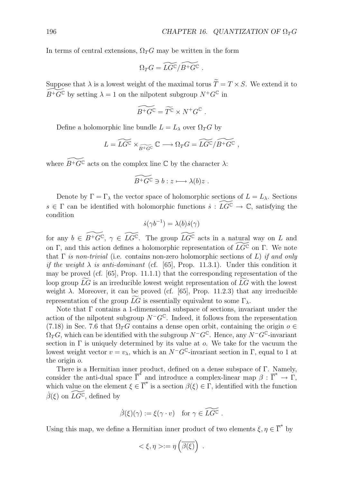In terms of central extensions,  $\Omega_T G$  may be written in the form

$$
\Omega_T G = \widetilde{LG^{\mathbb{C}}}/\widetilde{B^+G^{\mathbb{C}}}\ .
$$

Suppose that  $\lambda$  is a lowest weight of the maximal torus  $\widetilde{T} = T \times S$ . We extend it to  $B$ <sup>+</sup>*G*<sup>C</sup> by setting  $\lambda = 1$  on the nilpotent subgroup  $N$ <sup>+</sup>*G*<sup>C</sup> in

$$
\widetilde{B^+G^{\mathbb{C}}} = \widetilde{T^{\mathbb{C}}} \times N^+G^{\mathbb{C}}.
$$

Define a holomorphic line bundle  $L = L_{\lambda}$  over  $\Omega_T G$  by

$$
L = \widetilde{LG^{\mathbb{C}}} \times_{\widetilde{B^+G^{\mathbb{C}}}} \mathbb{C} \longrightarrow \Omega_T G = \widetilde{LG^{\mathbb{C}}}/\widetilde{B^+G^{\mathbb{C}}},
$$

where  $B$ <sup>+</sup> $G^{\mathbb{C}}$  acts on the complex line  $\mathbb{C}$  by the character  $\lambda$ :

$$
\widetilde{B^+G^{\mathbb{C}}}\ni b:z\longmapsto \lambda(b)z\ .
$$

Denote by  $\Gamma = \Gamma_{\lambda}$  the vector space of holomorphic sections of  $L = L_{\lambda}$ . Sections  $s \in \Gamma$  can be identified with holomorphic functions  $\dot{s} : \widetilde{LG}^{\mathbb{C}} \to \mathbb{C}$ , satisfying the condition

$$
\dot{s}(\gamma b^{-1}) = \lambda(b)\dot{s}(\gamma)
$$

for any  $b \in B^+G^{\mathbb{C}}, \gamma \in \overline{LG}^{\mathbb{C}}$ . The group  $\overline{LG}^{\mathbb{C}}$  acts in a natural way on *L* and on Γ, and this action defines a holomorphic representation of  $\widetilde{LG}^{\mathbb{C}}$  on Γ. We note that Γ *is non-trivial* (i.e. contains non-zero holomorphic sections of *L*) *if and only if the weight*  $\lambda$  *is anti-dominant* (cf. [65], Prop. 11.3.1). Under this condition it may be proved (cf. [65], Prop. 11.1.1) that the corresponding representation of the loop group  $\overline{LG}$  is an irreducible lowest weight representation of  $\overline{LG}$  with the lowest weight  $\lambda$ . Moreover, it can be proved (cf. [65], Prop. 11.2.3) that any irreducible representation of the group  $\widetilde{LG}$  is essentially equivalent to some  $\Gamma_{\lambda}$ .

Note that Γ contains a 1-dimensional subspace of sections, invariant under the action of the nilpotent subgroup  $N^-G^{\mathbb{C}}$ . Indeed, it follows from the representation (7.18) in Sec. 7.6 that  $\Omega_T G$  contains a dense open orbit, containing the origin  $o \in$  $\Omega_T G$ , which can be identified with the subgroup  $N^-G^{\mathbb{C}}$ . Hence, any  $N^-G^{\mathbb{C}}$ -invariant section in Γ is uniquely determined by its value at *o*. We take for the vacuum the lowest weight vector  $v = v_\lambda$ , which is an  $N^-G^{\mathbb{C}}$ -invariant section in  $\Gamma$ , equal to 1 at the origin *o*.

There is a Hermitian inner product, defined on a dense subspace of Γ. Namely, consider the anti-dual space  $\overline{\Gamma}^*$  and introduce a complex-linear map  $\beta : \overline{\Gamma}^* \to \overline{\Gamma}$ , which value on the element  $\xi \in \overline{\Gamma}^*$  is a section  $\beta(\xi) \in \Gamma$ , identified with the function  $\widetilde{\beta}(\xi)$  on  $\widetilde{LG}^{\mathbb{C}}$ , defined by

$$
\dot{\beta}(\xi)(\gamma) := \xi(\gamma \cdot v) \text{ for } \gamma \in \widetilde{LG}^{\mathbb{C}}.
$$

Using this map, we define a Hermitian inner product of two elements  $\xi, \eta \in \overline{\Gamma}^*$  by

$$
\langle \xi, \eta \rangle := \eta \left( \overline{\beta(\xi)} \right) .
$$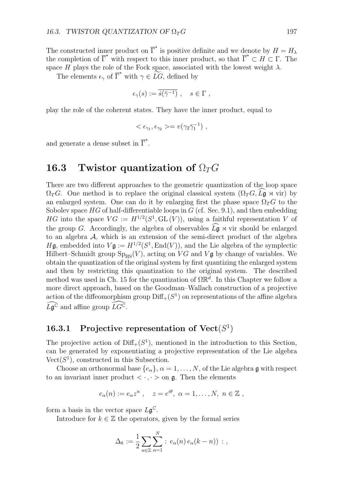The constructed inner product on  $\overline{\Gamma}^*$  is positive definite and we denote by  $H = H_\lambda$ the completion of  $\overline{\Gamma}^*$  with respect to this inner product, so that  $\overline{\Gamma}^* \subset H \subset \Gamma$ . The space *H* plays the role of the Fock space, associated with the lowest weight  $\lambda$ .

The elements  $\epsilon_{\gamma}$  of  $\overline{\Gamma}^*$  with  $\gamma \in \widetilde{LG}$ , defined by

$$
\epsilon_{\gamma}(s) := \overline{\dot{s}(\bar{\gamma}^{-1})} \ , \quad s \in \Gamma \ ,
$$

play the role of the coherent states. They have the inner product, equal to

$$
\langle \epsilon_{\gamma_1}, \epsilon_{\gamma_2} \rangle = v(\gamma_2 \bar{\gamma}_1^{-1}),
$$

and generate a dense subset in  $\overline{\Gamma}^*$ .

# **16.3 Twistor quantization of** Ω*TG*

There are two different approaches to the geometric quantization of the loop space  $\Omega_T G$ . One method is to replace the original classical system  $(\Omega_T G, L\mathfrak{g} \rtimes \text{vir})$  by an enlarged system. One can do it by enlarging first the phase space  $\Omega_T G$  to the Sobolev space *HG* of half-differentiable loops in *G* (cf. Sec. 9.1), and then embedding *HG* into the space  $VG := H^{1/2}(S^1, GL(V))$ , using a faithful representation *V* of the group *G*. Accordingly, the algebra of observables  $L\mathfrak{g} \rtimes \text{vir}$  should be enlarged to an electron of the sami direct product of the electron to an algebra *A*, which is an extension of the semi-direct product of the algebra *H*g, embedded into  $V\mathfrak{g} := H^{1/2}(S^1, \text{End}(V))$ , and the Lie algebra of the symplectic Hilbert–Schmidt group  $Sp_{HS}(V)$ , acting on *VG* and *Vg* by change of variables. We obtain the quantization of the original system by first quantizing the enlarged system and then by restricting this quantization to the original system. The described method was used in Ch. 15 for the quantization of  $\Omega \mathbb{R}^d$ . In this Chapter we follow a more direct approach, based on the Goodman–Wallach construction of a projective action of the diffeomorphism group  $\text{Diff}_+(S^1)$  on representations of the affine algebra  $\widehat{L} \mathfrak{g}^{\mathbb{C}}$  and affine group  $\widehat{L}G^{\mathbb{C}}$ .

# **16.3.1 Projective representation of Vect**(*S*<sup>1</sup>)

The projective action of  $\text{Diff}_+(S^1)$ , mentioned in the introduction to this Section, can be generated by exponentiating a projective representation of the Lie algebra  $Vect(S<sup>1</sup>)$ , constructed in this Subsection.

Choose an orthonormal base  $\{e_{\alpha}\}, \alpha = 1, \ldots, N$ , of the Lie algebra g with respect to an invariant inner product  $\langle \cdot, \cdot \rangle$  on  $\mathfrak{g}$ . Then the elements

$$
e_{\alpha}(n) := e_{\alpha}z^n , \quad z = e^{i\theta}, \ \alpha = 1, \ldots, N, \ n \in \mathbb{Z},
$$

form a basis in the vector space  $L\mathfrak{g}^{\mathbb{C}}$ .

Introduce for  $k \in \mathbb{Z}$  the operators, given by the formal series

$$
\Delta_k := \frac{1}{2} \sum_{n \in \mathbb{Z}} \sum_{\alpha=1}^N : e_\alpha(n) e_\alpha(k-n) ) : ,
$$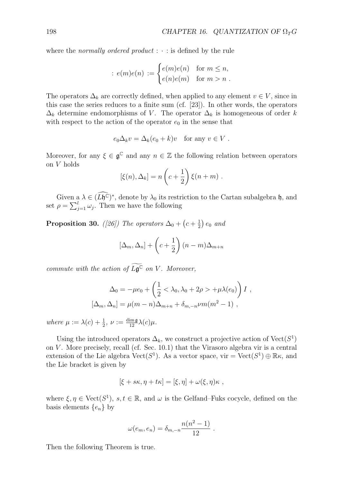where the *normally ordered product* :  $\cdot$  : is defined by the rule

$$
: e(m)e(n) := \begin{cases} e(m)e(n) & \text{for } m \leq n, \\ e(n)e(m) & \text{for } m > n. \end{cases}
$$

The operators  $\Delta_k$  are correctly defined, when applied to any element  $v \in V$ , since in this case the series reduces to a finite sum (cf. [23]). In other words, the operators  $\Delta_k$  determine endomorphisms of *V*. The operator  $\Delta_k$  is homogeneous of order *k* with respect to the action of the operator  $e_0$  in the sense that

$$
e_0\Delta_kv = \Delta_k(e_0+k)v
$$
 for any  $v \in V$ .

Moreover, for any  $\xi \in \mathfrak{g}^{\mathbb{C}}$  and any  $n \in \mathbb{Z}$  the following relation between operators on *V* holds

$$
[\xi(n), \Delta_k] = n\left(c + \frac{1}{2}\right)\xi(n+m) .
$$

Given a  $\lambda \in (L\mathfrak{h}^{\mathbb{C}})^*$ , denote by  $\lambda_0$  its restriction to the Cartan subalgebra  $\mathfrak{h}$ , and set  $\rho = \sum_{j=1}^{l} \omega_j$ . Then we have the following

**Proposition 30.** *([26])* The operators  $\Delta_0 + (c + \frac{1}{2})e_0$  and

$$
[\Delta_m, \Delta_n] + \left(c + \frac{1}{2}\right)(n-m)\Delta_{m+n}
$$

*commute with the action of*  $L\mathfrak{g}^{\mathbb{C}}$  *on V*. Moreover,

$$
\Delta_0 = -\mu e_0 + \left(\frac{1}{2} < \lambda_0, \lambda_0 + 2\rho > +\mu\lambda(e_0)\right) I,
$$
  

$$
[\Delta_m, \Delta_n] = \mu(m - n)\Delta_{m+n} + \delta_{m,-n}\nu m(m^2 - 1),
$$

 $where \mu := \lambda(c) + \frac{1}{2}, \nu := \frac{\dim \mathfrak{g}}{12} \lambda(c) \mu.$ 

Using the introduced operators  $\Delta_k$ , we construct a projective action of Vect( $S^1$ ) on *V* . More precisely, recall (cf. Sec. 10.1) that the Virasoro algebra vir is a central extension of the Lie algebra  $Vect(S^1)$ . As a vector space, vir =  $Vect(S^1) \oplus \mathbb{R}\kappa$ , and the Lie bracket is given by

$$
[\xi + s\kappa, \eta + t\kappa] = [\xi, \eta] + \omega(\xi, \eta)\kappa,
$$

where  $\xi, \eta \in \text{Vect}(S^1), s, t \in \mathbb{R}$ , and  $\omega$  is the Gelfand–Fuks cocycle, defined on the basis elements  $\{e_n\}$  by

$$
\omega(e_m, e_n) = \delta_{m,-n} \frac{n(n^2 - 1)}{12} \; .
$$

Then the following Theorem is true.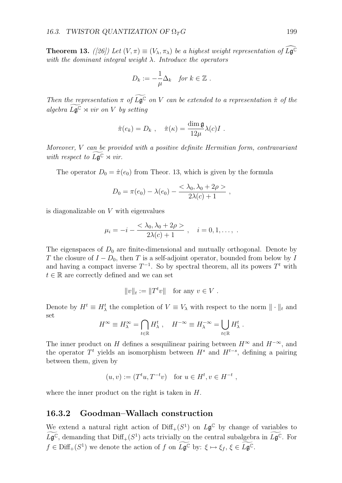**Theorem 13.** *([26])* Let  $(V, \pi) \equiv (V_{\lambda}, \pi_{\lambda})$  be a highest weight representation of  $L\mathfrak{g}^{\mathbb{C}}$ *with the dominant integral weight λ. Introduce the operators*

$$
D_k := -\frac{1}{\mu} \Delta_k \quad \text{for } k \in \mathbb{Z} \ .
$$

*Then the representation*  $\pi$  *of*  $L\mathfrak{g}^{\mathbb{C}}$  *on V can be extended to a representation*  $\hat{\pi}$  *of the*  $algebra$   $L\mathfrak{g}^{\mathbb{C}} \rtimes vir$  *on*  $V$  *by setting* 

$$
\hat{\pi}(e_k) = D_k \ , \quad \hat{\pi}(\kappa) = \frac{\dim \mathfrak{g}}{12\mu} \lambda(c) I \ .
$$

*Moreover, V can be provided with a positive definite Hermitian form, contravariant with respect to*  $L\mathfrak{g}^{\mathbb{C}} \rtimes vir$ .

The operator  $D_0 = \hat{\pi}(e_0)$  from Theor. 13, which is given by the formula

$$
D_0 = \pi(e_0) - \lambda(e_0) - \frac{<\lambda_0, \lambda_0 + 2\rho>}{2\lambda(c) + 1} ,
$$

is diagonalizable on *V* with eigenvalues

$$
\mu_i = -i - \frac{<\lambda_0, \lambda_0 + 2\rho>}{2\lambda(c) + 1}, \quad i = 0, 1, \dots, \; .
$$

The eigenspaces of  $D_0$  are finite-dimensional and mutually orthogonal. Denote by *T* the closure of *I* − *D*<sub>0</sub>, then *T* is a self-adjoint operator, bounded from below by *I* and having a compact inverse  $T^{-1}$ . So by spectral theorem, all its powers  $T<sup>t</sup>$  with  $t \in \mathbb{R}$  are correctly defined and we can set

$$
||v||_t := ||T^t v|| \text{ for any } v \in V.
$$

Denote by  $H^t \equiv H^t_\lambda$  the completion of  $V \equiv V_\lambda$  with respect to the norm  $\|\cdot\|_t$  and set

$$
H^{\infty} \equiv H_{\lambda}^{\infty} = \bigcap_{t \in \mathbb{R}} H_{\lambda}^{t}, \quad H^{-\infty} \equiv H_{\lambda}^{-\infty} = \bigcup_{t \in \mathbb{R}} H_{\lambda}^{t}.
$$

The inner product on *H* defines a sesquilinear pairing between  $H^{\infty}$  and  $H^{-\infty}$ , and the operator  $T^t$  yields an isomorphism between  $H^s$  and  $H^{t-s}$ , defining a pairing between them, given by

$$
(u, v) := (T^t u, T^{-t} v)
$$
 for  $u \in H^t, v \in H^{-t}$ ,

where the inner product on the right is taken in *H*.

#### **16.3.2 Goodman–Wallach construction**

We extend a natural right action of  $\text{Diff}_+(S^1)$  on  $L\mathfrak{g}^{\mathbb{C}}$  by change of variables to  $L\mathfrak{g}^{\mathbb{C}}$ , demanding that  $\text{Diff}_+(S^1)$  acts trivially on the central subalgebra in  $L\mathfrak{g}^{\mathbb{C}}$ . For  $f \in \text{Diff}_+(S^1)$  we denote the action of  $f$  on  $L\mathfrak{g}^{\mathbb{C}}$  by:  $\xi \mapsto \xi_f$ ,  $\xi \in L\mathfrak{g}^{\mathbb{C}}$ .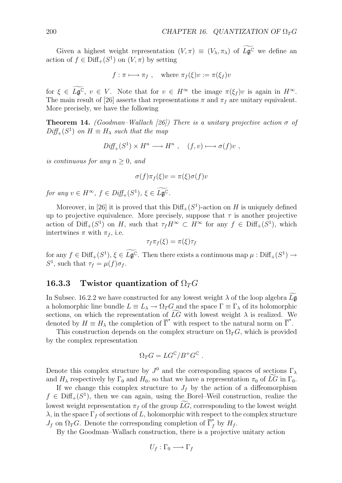Given a highest weight representation  $(V, \pi) \equiv (V_{\lambda}, \pi_{\lambda})$  of  $L\mathfrak{g}^{\mathbb{C}}$  we define an action of  $f \in \text{Diff}_+(S^1)$  on  $(V, \pi)$  by setting

$$
f: \pi \longmapsto \pi_f
$$
, where  $\pi_f(\xi)v := \pi(\xi_f)v$ 

for  $\xi \in L\mathfrak{g}^{\mathbb{C}}, v \in V$ . Note that for  $v \in H^{\infty}$  the image  $\pi(\xi_f)v$  is again in  $H^{\infty}$ . The main result of [26] asserts that representations  $\pi$  and  $\pi_f$  are unitary equivalent. More precisely, we have the following

**Theorem 14.** *(Goodman–Wallach [26])* There is a unitary projective action  $\sigma$  of  $Diff_{+}(S^{1})$  *on*  $H \equiv H_{\lambda}$  *such that the map* 

$$
Diff_{+}(S^{1}) \times H^{n} \longrightarrow H^{n} , (f, v) \longmapsto \sigma(f)v ,
$$

*is continuous for any*  $n \geq 0$ *, and* 

$$
\sigma(f)\pi_f(\xi)v = \pi(\xi)\sigma(f)v
$$

*for any*  $v \in H^{\infty}$ ,  $f \in Diff_{+}(S^{1}), \xi \in L\mathfrak{g}^{\mathbb{C}}$ .

Moreover, in [26] it is proved that this  $\text{Diff}_{+}(S^1)$ -action on *H* is uniquely defined up to projective equivalence. More precisely, suppose that  $\tau$  is another projective action of  $\text{Diff}_+(S^1)$  on *H*, such that  $\tau_f H^\infty \subset H^\infty$  for any  $f \in \text{Diff}_+(S^1)$ , which intertwines  $\pi$  with  $\pi_f$ , i.e.

$$
\tau_f \pi_f(\xi) = \pi(\xi) \tau_f
$$

for any  $f \in \text{Diff}_+(S^1), \xi \in L\mathfrak{g}^{\mathbb{C}}$ . Then there exists a continuous map  $\mu : \text{Diff}_+(S^1) \to$ *S*<sup>1</sup>, such that  $\tau_f = \mu(f)\sigma_f$ .

#### **16.3.3** Twistor quantization of  $\Omega_T G$

In Subsec. 16.2.2 we have constructed for any lowest weight  $\lambda$  of the loop algebra  $L\mathfrak{g}$ a holomorphic line bundle  $L \equiv L_{\lambda} \rightarrow \Omega_T G$  and the space  $\Gamma \equiv \Gamma_{\lambda}$  of its holomorphic sections, on which the representation of  $LG$  with lowest weight  $\lambda$  is realized. We denoted by  $H \equiv H_{\lambda}$  the completion of  $\overline{\Gamma}^*$  with respect to the natural norm on  $\overline{\Gamma}^*$ .

This construction depends on the complex structure on  $\Omega_T G$ , which is provided by the complex representation

$$
\Omega_T G = LG^{\mathbb{C}} / B^+ G^{\mathbb{C}} .
$$

Denote this complex structure by  $J^0$  and the corresponding spaces of sections  $\Gamma_\lambda$ and  $H_{\lambda}$  respectively by  $\Gamma_0$  and  $H_0$ , so that we have a representation  $\pi_0$  of LG in  $\Gamma_0$ .

If we change this complex structure to  $J_f$  by the action of a diffeomorphism  $f \in \text{Diff}_+(S^1)$ , then we can again, using the Borel–Weil construction, realize the lowest weight representation  $\pi_f$  of the group *LG*, corresponding to the lowest weight *λ*, in the space Γ*<sup>f</sup>* of sections of *L*, holomorphic with respect to the complex structure  $J_f$  on  $\Omega_T G$ . Denote the corresponding completion of  $\overline{\Gamma}_f^*$  by  $H_f$ .

By the Goodman–Wallach construction, there is a projective unitary action

$$
U_f : \Gamma_0 \longrightarrow \Gamma_f
$$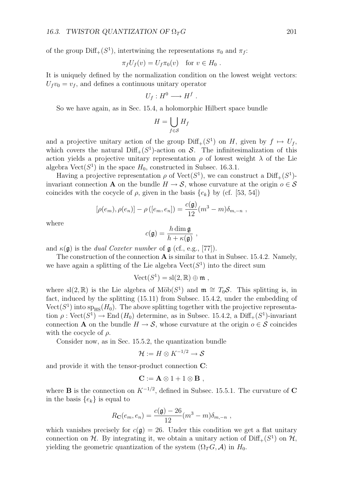of the group  $\text{Diff}_+(S^1)$ , intertwining the representations  $\pi_0$  and  $\pi_f$ :

$$
\pi_f U_f(v) = U_f \pi_0(v) \quad \text{for } v \in H_0.
$$

It is uniquely defined by the normalization condition on the lowest weight vectors:  $U_f v_0 = v_f$ , and defines a continuous unitary operator

$$
U_f: H^0 \longrightarrow H^f.
$$

So we have again, as in Sec. 15.4, a holomorphic Hilbert space bundle

$$
H = \bigcup_{f \in \mathcal{S}} H_f
$$

and a projective unitary action of the group  $\text{Diff}_+(S^1)$  on *H*, given by  $f \mapsto U_f$ , which covers the natural  $\text{Diff}_+(S^1)$ -action on *S*. The infinitesimalization of this action yields a projective unitary representation  $\rho$  of lowest weight  $\lambda$  of the Lie algebra  $Vect(S^1)$  in the space  $H_0$ , constructed in Subsec. 16.3.1.

Having a projective representation  $\rho$  of Vect( $S^1$ ), we can construct a Diff<sub>+</sub>( $S^1$ )invariant connection **A** on the bundle  $H \to S$ , whose curvature at the origin  $o \in S$ coincides with the cocycle of  $\rho$ , given in the basis  $\{e_k\}$  by (cf. [53, 54])

$$
[\rho(e_m), \rho(e_n)] - \rho([e_m, e_n]) = \frac{c(\mathfrak{g})}{12}(m^3 - m)\delta_{m,-n},
$$

where

$$
c(\mathfrak{g}) = \frac{h \dim \mathfrak{g}}{h + \kappa(\mathfrak{g})} ,
$$

and  $\kappa(\mathfrak{g})$  is the *dual Coxeter number* of  $\mathfrak{g}$  (cf., e.g., [77]).

The construction of the connection **A** is similar to that in Subsec. 15.4.2. Namely, we have again a splitting of the Lie algebra  $Vect(S^1)$  into the direct sum

$$
\text{Vect}(S^1) = \text{sl}(2,\mathbb{R}) \oplus \mathfrak{m} ,
$$

where sl(2, R) is the Lie algebra of Möb( $S<sup>1</sup>$ ) and  $\mathfrak{m} \cong T_0 \mathcal{S}$ . This splitting is, in fact, induced by the splitting (15.11) from Subsec. 15.4.2, under the embedding of  $Vect(S<sup>1</sup>)$  into  $s_{\text{PHS}}(H_0)$ . The above splitting together with the projective representation  $\rho$ : Vect $(S^1) \to \text{End}(H_0)$  determine, as in Subsec. 15.4.2, a Diff<sub>+</sub> $(S^1)$ -invariant connection **A** on the bundle  $H \to S$ , whose curvature at the origin  $o \in S$  coincides with the cocycle of *ρ*.

Consider now, as in Sec. 15.5.2, the quantization bundle

$$
\mathcal{H} := H \otimes K^{-1/2} \to \mathcal{S}
$$

and provide it with the tensor-product connection **C**:

$$
\mathbf{C} := \mathbf{A} \otimes 1 + 1 \otimes \mathbf{B} ,
$$

where **B** is the connection on  $K^{-1/2}$ , defined in Subsec. 15.5.1. The curvature of **C** in the basis  ${e_k}$  is equal to

$$
R_{\mathbf{C}}(e_m, e_n) = \frac{c(\mathfrak{g}) - 26}{12} (m^3 - m) \delta_{m, -n} ,
$$

which vanishes precisely for  $c(\mathfrak{g}) = 26$ . Under this condition we get a flat unitary connection on  $H$ . By integrating it, we obtain a unitary action of  $\text{Diff}_+(S^1)$  on  $H$ , yielding the geometric quantization of the system  $(\Omega_T G, \mathcal{A})$  in  $H_0$ .